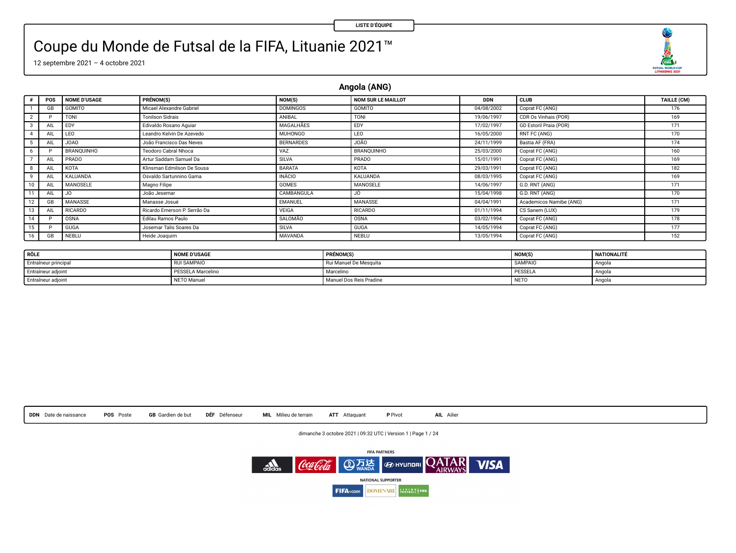U  $\begin{array}{c}\n\sqrt{111} \\
\sqrt{111} \\
\sqrt{1004}\n\end{array}$  FUSAL ROBERTO NO 202

# Coupe du Monde de Futsal de la FIFA, Lituanie 2021™

12 septembre 2021 – 4 octobre 2021

**Angola (ANG)**

|    | POS | <b>NOME D'USAGE</b> | PRÉNOM(S)                    | NOM(S)           | <b>NOM SUR LE MAILLOT</b> | <b>DDN</b> | CLUB                    | TAILLE (CM) |
|----|-----|---------------------|------------------------------|------------------|---------------------------|------------|-------------------------|-------------|
|    | GB  | <b>GOMITO</b>       | Micael Alexandre Gabriel     | <b>DOMINGOS</b>  | GOMITO                    | 04/08/2002 | Coprat FC (ANG)         | 176         |
|    |     | TONI                | <b>Tonilson Sidrais</b>      | ANIBAL           | <b>TONI</b>               | 19/06/1997 | CDR Os Vinhais (POR)    | 169         |
|    | AIL | <b>FDY</b>          | Edivaldo Rosano Aguiar       | MAGALHÃES        | EDY                       | 17/02/1997 | GD Estoril Praia (POR)  | 171         |
|    | AIL | LEO                 | Leandro Kelvin De Azevedo    | MUHONGO          | LEO                       | 16/05/2000 | RNT FC (ANG)            | 170         |
|    | AIL | <b>OAOL</b>         | João Francisco Das Neves     | <b>BERNARDES</b> | J0Ã0                      | 24/11/1999 | Bastia AF (FRA)         | 174         |
| 6  |     | BRANOUINHO          | Teodoro Cabral Nhoca         | VAZ              | BRANOUINHO                | 25/03/2000 | Coprat FC (ANG)         | 160         |
|    | AIL | PRADO               | Artur Saddam Samuel Da       | <b>SILVA</b>     | PRADO                     | 15/01/1991 | Coprat FC (ANG)         | 169         |
|    | All | <b>KOTA</b>         | Klinsman Edmilson De Sousa   | <b>BARATA</b>    | KOTA                      | 29/03/1991 | Coprat FC (ANG)         | 182         |
|    | AIL | <b>KALUANDA</b>     | Osvaldo Sartunnino Gama      | <b>INÁCIO</b>    | <b>KALUANDA</b>           | 08/03/1995 | Coprat FC (ANG)         | 169         |
|    | AIL | MANOSELE            | Magno Filipe                 | <b>GOMES</b>     | MANOSELE                  | 14/06/1997 | G.D. RNT (ANG)          | 171         |
|    | AIL | JO.                 | João Jesemar                 | CAMBANGULA       | JÓ.                       | 15/04/1998 | G.D. RNT (ANG)          | 170         |
|    | GB  | MANASSE             | Manasse Josué                | EMANUEL          | MANASSE                   | 04/04/1991 | Academicos Namibe (ANG) | 171         |
| 13 | AIL | <b>RICARDO</b>      | Ricardo Emerson P. Serrão Da | VEIGA            | <b>RICARDO</b>            | 01/11/1994 | CS Sanem (LUX)          | 179         |
| 14 |     | <b>OSNA</b>         | Edilau Ramos Paulo           | SALOMÃO          | OSNA                      | 03/02/1994 | Coprat FC (ANG)         | 178         |
| 15 |     | <b>GUGA</b>         | Josemar Talis Soares Da      | <b>SILVA</b>     | <b>GUGA</b>               | 14/05/1994 | Coprat FC (ANG)         | 177         |
|    | GB  | NEBLU               | Heide Joaquim                | MAVANDA          | NEBLU                     | 13/05/1994 | Coprat FC (ANG)         | 152         |

| RÔLE                 | <b>NOME D'USAGE</b> | PRÉNOM(S)               | <b>NOM(S)</b>    | NATIONALITÉ   |
|----------------------|---------------------|-------------------------|------------------|---------------|
| Entraîneur principal | <b>RUI SAMPAIO</b>  | Rui Manuel De Mesquita  | <b>SAMPAIO</b>   | <b>Angola</b> |
| Entraîneur adjoint   | PESSELA Marcelino   | Marceline               | <b>PESSEL/</b>   | Angola        |
| Entraîneur adjoint   | NETO Manuel         | Manuel Dos Reis Pradine | NET <sub>0</sub> | Angola        |

**DDN** Date de naissance **POS** Poste **GB** Gardien de but **DÉF** Défenseur **MIL** Milieu de terrain **ATT** Attaquant **P** Pivot **AIL** Ailier

dimanche 3 octobre 2021 | 09:32 UTC | Version 1 | Page 1 / 24

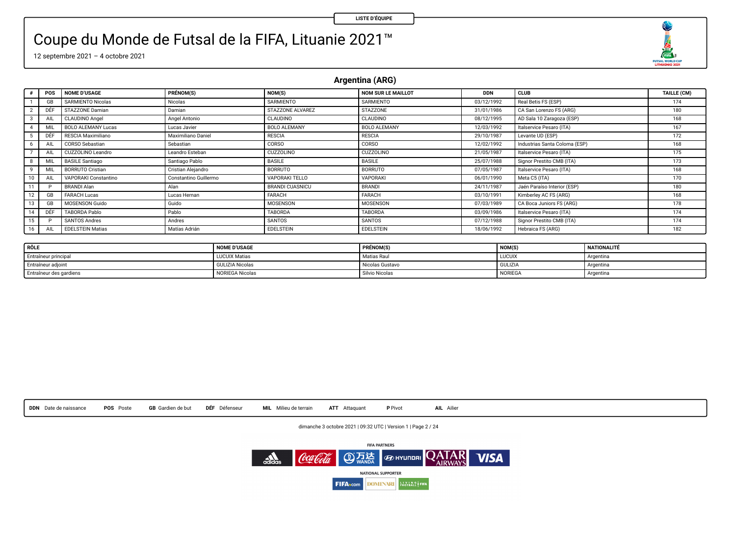O  $\begin{array}{r}\n\overbrace{\text{max}} \\
\overbrace{\text{max}} \\
\overbrace{\text{maxmax}} \\
\overbrace{\text{maxmax}} \\
\overbrace{\text{max}} \\
\overbrace{\text{max}} \\
\overbrace{\text{max}} \\
\overbrace{\text{max}} \\
\overbrace{\text{max}} \\
\overbrace{\text{max}} \\
\overbrace{\text{max}} \\
\overbrace{\text{max}} \\
\overbrace{\text{max}} \\
\overbrace{\text{max}} \\
\overbrace{\text{max}} \\
\overbrace{\text{max}} \\
\overbrace{\text{max}} \\
\overbrace{\text{max}} \\
\overbrace{\text{max}} \\
\overbrace{\text{max}} \\
\overbrace{\text{max}} \\
\overbrace{\text{max}} \\
\overbrace{\text{max}} \\
\overbrace$ 

### Coupe du Monde de Futsal de la FIFA, Lituanie 2021™

12 septembre 2021 – 4 octobre 2021

**Argentina (ARG)**

|    | POS | <b>NOME D'USAGE</b>       | PRÉNOM(S)             | NOM(S)                 | <b>NOM SUR LE MAILLOT</b> | <b>DDN</b> | <b>CLUB</b>                   | TAILLE (CM) |
|----|-----|---------------------------|-----------------------|------------------------|---------------------------|------------|-------------------------------|-------------|
|    | GB  | <b>SARMIENTO Nicolas</b>  | Nicolas               | SARMIENTO              | SARMIENTO                 | 03/12/1992 | Real Betis FS (ESP)           | 174         |
|    | DÊI | STAZZONE Damian           | Damian                | STAZZONE ALVAREZ       | <b>STAZZONE</b>           | 31/01/1986 | CA San Lorenzo FS (ARG)       | 180         |
|    | AIL | CLAUDINO Angel            | Angel Antonio         | CLAUDINO               | CLAUDINO                  | 08/12/1995 | AD Sala 10 Zaragoza (ESP)     | 168         |
|    | MI  | <b>BOLO ALEMANY Lucas</b> | Lucas Javier          | <b>BOLO ALEMANY</b>    | <b>BOLO ALEMANY</b>       | 12/03/1992 | Italservice Pesaro (ITA)      | 167         |
|    | DÊ  | RESCIA Maximiliano        | Maximiliano Daniel    | <b>RESCIA</b>          | <b>RESCIA</b>             | 29/10/1987 | Levante UD (ESP)              | 172         |
|    | All | CORSO Sebastian           | Sebastian             | CORSO                  | CORSO                     | 12/02/1992 | Industrias Santa Coloma (ESP) | 168         |
|    | All | CUZZOLINO Leandro         | Leandro Esteban       | <b>CUZZOLINO</b>       | CUZZOLINO                 | 21/05/1987 | Italservice Pesaro (ITA)      | 175         |
|    | MIL | <b>BASILE Santiago</b>    | Santiago Pablo        | <b>BASILE</b>          | <b>BASILE</b>             | 25/07/1988 | Signor Prestito CMB (ITA)     | 173         |
|    | MI  | <b>BORRUTO Cristian</b>   | Cristian Aleiandro    | BORRUTO                | <b>BORRUTO</b>            | 07/05/1987 | Italservice Pesaro (ITA)      | 168         |
|    | All | VAPORAKI Constantino      | Constantino Guillermo | VAPORAKI TELLO         | VAPORAKI                  | 06/01/1990 | Meta C5 (ITA)                 | 170         |
|    |     | <b>BRANDI Alan</b>        | Alan                  | <b>BRANDI CUASNICU</b> | BRANDI                    | 24/11/1987 | Jaén Paraíso Interior (ESP)   | 180         |
|    | GB  | <b>FARACH Lucas</b>       | Lucas Hernan          | FARACH                 | FARACH                    | 03/10/1991 | Kimberley AC FS (ARG)         | 168         |
|    | GB  | <b>MOSENSON Guido</b>     | Guido                 | MOSENSON               | <b>MOSENSON</b>           | 07/03/1989 | CA Boca Juniors FS (ARG)      | 178         |
|    | DÉF | TABORDA Pablo             | Pablo                 | TABORDA                | TABORDA                   | 03/09/1986 | Italservice Pesaro (ITA)      | 174         |
| 15 |     | SANTOS Andres             | Andres                | SANTOS                 | SANTOS                    | 07/12/1988 | Signor Prestito CMB (ITA)     | 174         |
| 16 | All | <b>EDELSTEIN Matias</b>   | Matias Adrian         | <b>EDELSTEIN</b>       | <b>EDELSTEIN</b>          | 18/06/1992 | Hebraica FS (ARG)             | 182         |

| RÔLE                    | <b>NOME D'USAGE</b>    | <b>PRÉNOM(S)</b> | <b>NOM(S)</b>  | NATIONALITÉ |
|-------------------------|------------------------|------------------|----------------|-------------|
| Entraîneur principal    | <b>LUCUIX Matias</b>   | Matias Raul      | <b>LUCUIX</b>  | Argentina   |
| Entraîneur adjoint      | <b>GULIZIA Nicolas</b> | Nicolas Gustavo  | <b>GULIZIA</b> | Argentina   |
| Entraîneur des gardiens | <b>NORIEGA Nicolas</b> | Silvio Nicolas   | NORIEGA        | Argentina   |

**DDN** Date de naissance **POS** Poste **GB** Gardien de but **DÉF** Défenseur **MIL** Milieu de terrain **ATT** Attaquant **P** Pivot **AIL** Ailier

dimanche 3 octobre 2021 | 09:32 UTC | Version 1 | Page 2 / 24

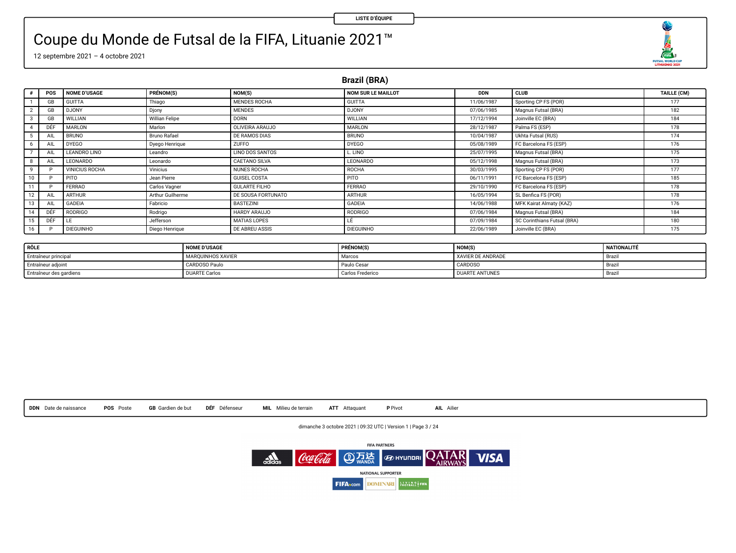O FUTSAL WORLD CUP

### Coupe du Monde de Futsal de la FIFA, Lituanie 2021™

12 septembre 2021 – 4 octobre 2021

**Brazil (BRA)**

|    | POS | <b>NOME D'USAGE</b>   | PRÉNOM(S)        | NOM(S)                | <b>NOM SUR LE MAILLOT</b> | <b>DDN</b> | <b>CLUB</b>                 | TAILLE (CM) |
|----|-----|-----------------------|------------------|-----------------------|---------------------------|------------|-----------------------------|-------------|
|    | GB  | <b>GUITTA</b>         | Thiago           | MENDES ROCHA          | <b>GUITTA</b>             | 11/06/1987 | Sporting CP FS (POR)        | 177         |
|    | GB. | <b>DJONY</b>          | Djony            | <b>MENDES</b>         | <b>DJONY</b>              | 07/06/1985 | Magnus Futsal (BRA)         | 182         |
|    | GB  | WILLIAN               | Willian Felipe   | <b>DORN</b>           | WILLIAN                   | 17/12/1994 | Joinville EC (BRA)          | 184         |
|    | DÉF | MARLON                | Marlon           | OLIVEIRA ARAUJO       | MARLON                    | 28/12/1987 | Palma FS (ESP)              | 178         |
|    | AIL | <b>BRUNO</b>          | Bruno Rafael     | DE RAMOS DIAS         | <b>BRUNO</b>              | 10/04/1987 | Ukhta Futsal (RUS)          | 174         |
|    | All | <b>DYEGO</b>          | Dyego Henrique   | ZUFFO                 | <b>DYEGO</b>              | 05/08/1989 | FC Barcelona FS (ESP)       | 176         |
|    | AIL | LEANDRO LINO          | Leandro          | LINO DOS SANTOS       | L. LINO                   | 25/07/1995 | Magnus Futsal (BRA)         | 175         |
|    | AIL | LEONARDO              | Leonardo         | CAETANO SILVA         | LEONARDO                  | 05/12/1998 | Magnus Futsal (BRA)         | 173         |
|    |     | <b>VINICIUS ROCHA</b> | Vinicius         | NUNES ROCHA           | <b>ROCHA</b>              | 30/03/1995 | Sporting CP FS (POR)        | 177         |
| 10 |     | PITO                  | Jean Pierre      | <b>GUISEL COSTA</b>   | <b>PITO</b>               | 06/11/1991 | FC Barcelona FS (ESP)       | 185         |
|    |     | FERRAO                | Carlos Vagner    | <b>GULARTE FILHO</b>  | FERRAO                    | 29/10/1990 | FC Barcelona FS (ESP)       | 178         |
| 12 | AIL | <b>ARTHUR</b>         | Arthur Guilherme | DE SOUSA FORTUNATO    | <b>ARTHUR</b>             | 16/05/1994 | SL Benfica FS (POR)         | 178         |
|    |     | <b>GADEIA</b>         | Fabricio         | <b>BASTEZINI</b>      | GADEIA                    | 14/06/1988 | MFK Kairat Almaty (KAZ)     | 176         |
|    | DÉF | RODRIGO               | Rodrigo          | HARDY ARAUJO          | <b>RODRIGO</b>            | 07/06/1984 | Magnus Futsal (BRA)         | 184         |
|    | DÉF | IF.                   | Jefferson        | MATIAS LOPES          |                           | 07/09/1984 | SC Corinthians Futsal (BRA) | 180         |
| 16 | D   | <b>DIEGUINHO</b>      | Diego Henrique   | <b>DE ABREU ASSIS</b> | <b>DIEGUINHO</b>          | 22/06/1989 | Joinville EC (BRA)          | 175         |

| RÔLE                    | <b>NOME D'USAGE</b>  | PRÉNOM(S)        | NOM(S                 | <b>NATIONALITÉ</b> |
|-------------------------|----------------------|------------------|-----------------------|--------------------|
| Entraîneur principal    | MARQUINHOS XAVIER    | Marcos           | XAVIER DE ANDRADE     | Brazil             |
| Entraîneur adjoint      | CARDOSO Paulo        | Paulo Cesar      | CARDOSO               | <b>Brazil</b>      |
| Entraîneur des gardiens | <b>DUARTE Carlos</b> | Carlos Frederico | <b>DUARTE ANTUNES</b> | <b>Brazil</b>      |



dimanche 3 octobre 2021 | 09:32 UTC | Version 1 | Page 3 / 24

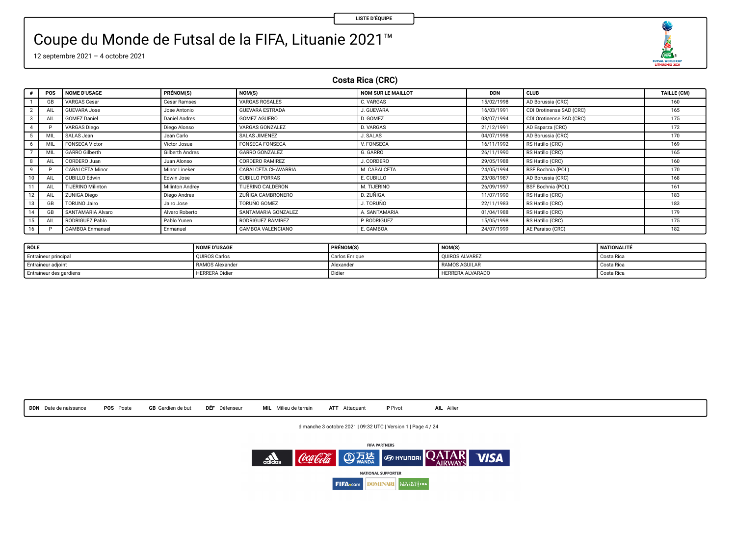O  $\begin{array}{r}\n\overbrace{\text{max}} \\
\overbrace{\text{max}} \\
\overbrace{\text{maxmax}} \\
\overbrace{\text{maxmax}} \\
\overbrace{\text{max}} \\
\overbrace{\text{max}} \\
\overbrace{\text{max}} \\
\overbrace{\text{max}} \\
\overbrace{\text{max}} \\
\overbrace{\text{max}} \\
\overbrace{\text{max}} \\
\overbrace{\text{max}} \\
\overbrace{\text{max}} \\
\overbrace{\text{max}} \\
\overbrace{\text{max}} \\
\overbrace{\text{max}} \\
\overbrace{\text{max}} \\
\overbrace{\text{max}} \\
\overbrace{\text{max}} \\
\overbrace{\text{max}} \\
\overbrace{\text{max}} \\
\overbrace{\text{max}} \\
\overbrace{\text{max}} \\
\overbrace$ 

### Coupe du Monde de Futsal de la FIFA, Lituanie 2021™

12 septembre 2021 – 4 octobre 2021

#### **Costa Rica (CRC)**

|    | POS | <b>NOME D'USAGE</b>      | PRÉNOM(S)            | NOM(S)                   | NOM SUR LE MAILLOT | <b>DDN</b> | <b>CLUB</b>              | TAILLE (CM) |
|----|-----|--------------------------|----------------------|--------------------------|--------------------|------------|--------------------------|-------------|
|    | GE  | VARGAS Cesar             | Cesar Ramses         | VARGAS ROSALES           | C. VARGAS          | 15/02/1998 | AD Borussia (CRC)        | 160         |
|    | All | <b>GUEVARA Jose</b>      | Jose Antonio         | <b>GUEVARA ESTRADA</b>   | J. GUEVARA         | 16/03/1991 | CDI Orotinense SAD (CRC) | 165         |
|    | AIL | <b>GOMEZ Daniel</b>      | <b>Daniel Andres</b> | GOMEZ AGUERO             | D. GOMEZ           | 08/07/1994 | CDI Orotinense SAD (CRC) | 175         |
|    |     | VARGAS Diego             | Diego Alonso         | VARGAS GONZALEZ          | <b>D. VARGAS</b>   | 21/12/1991 | AD Esparza (CRC)         | 172         |
|    | MIL | SALAS Jean               | Jean Carlo           | <b>SALAS JIMENEZ</b>     | <b>J. SALAS</b>    | 04/07/1998 | AD Borussia (CRC)        | 170         |
|    | MIL | <b>FONSECA Victor</b>    | Victor Josue         | <b>FONSECA FONSECA</b>   | V. FONSECA         | 16/11/1992 | RS Hatillo (CRC)         | 169         |
|    | MI  | <b>GARRO Gilberth</b>    | Gilberth Andres      | <b>GARRO GONZALEZ</b>    | G. GARRO           | 26/11/1990 | RS Hatillo (CRC)         | 165         |
|    | All | CORDERO Juan             | Juan Alonso          | CORDERO RAMIREZ          | J. CORDERO         | 29/05/1988 | RS Hatillo (CRC)         | 160         |
|    |     | CABALCETA Minor          | Minor Lineker        | CABALCETA CHAVARRIA      | M. CABALCETA       | 24/05/1994 | BSF Bochnia (POL)        | 170         |
|    | AI  | CUBILLO Edwin            | Edwin Jose           | <b>CUBILLO PORRAS</b>    | E. CUBILLO         | 23/08/1987 | AD Borussia (CRC)        | 168         |
|    | AI  | <b>TIJERINO Milinton</b> | Milinton Andrey      | TIJERINO CALDERON        | M. TIJERINO        | 26/09/1997 | BSF Bochnia (POL)        | 161         |
| 12 | All | <b>ZUNIGA Diego</b>      | Diego Andres         | <b>ZUÑIGA CAMBRONERO</b> | D. ZUÑIGA          | 11/07/1990 | RS Hatillo (CRC)         | 183         |
| 13 | GE  | <b>TORUNO Jairo</b>      | Jairo Jose           | TORUÑO GOMEZ             | J. TORUÑO          | 22/11/1983 | RS Hatillo (CRC)         | 183         |
|    | GB  | SANTAMARIA Alvaro        | Alvaro Roberto       | SANTAMARIA GONZALEZ      | A. SANTAMARIA      | 01/04/1988 | RS Hatillo (CRC)         | 179         |
| 15 | AIL | RODRIGUEZ Pablo          | Pablo Yunen          | RODRIGUEZ RAMIREZ        | P. RODRIGUEZ       | 15/05/1998 | RS Hatillo (CRC)         | 175         |
| 16 | n   | <b>GAMBOA</b> Enmanuel   | Enmanuel             | <b>GAMBOA VALENCIANO</b> | E. GAMBOA          | 24/07/1999 | AE Paraíso (CRC)         | 182         |

| <sup>1</sup> RÔLE       | <b>NOME D'USAGE</b>   | PRÉNOM(S)      | NOM(S)                  | NATIONALITÉ |
|-------------------------|-----------------------|----------------|-------------------------|-------------|
| Entraîneur principal    | <b>OUIROS Carlos</b>  | Carlos Enrique | <b>OUIROS ALVAREZ</b>   | Costa Rica  |
| Entraîneur adjoint      | RAMOS Alexander       | Alexander      | RAMOS AGUILAR           | Costa Rica  |
| Entraîneur des gardiens | <b>HERRERA</b> Didier | Didier         | <b>HERRERA ALVARADO</b> | Costa Rica  |



dimanche 3 octobre 2021 | 09:32 UTC | Version 1 | Page 4 / 24

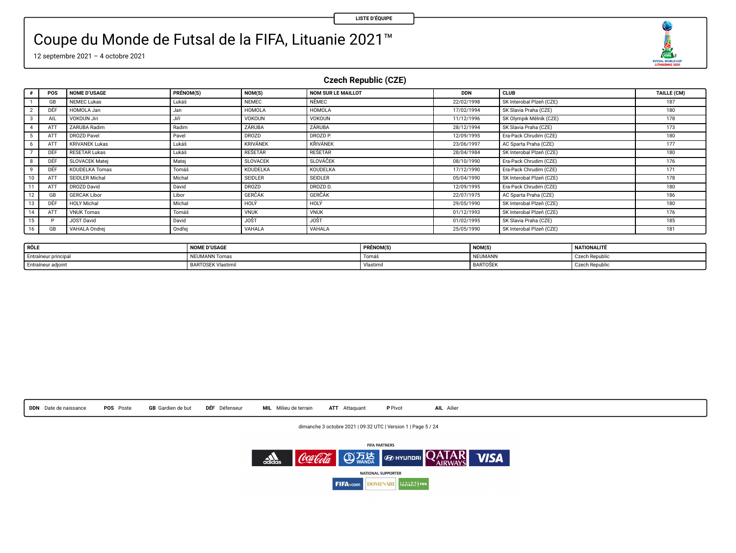$\begin{array}{c}\n\sqrt{11/2} & 2 \\
\hline\n\end{array}$ 

## Coupe du Monde de Futsal de la FIFA, Lituanie 2021™

12 septembre 2021 – 4 octobre 2021

**Czech Republic (CZE)**

|    | POS | <b>NOME D'USAGE</b>   | PRÉNOM(S) | NOM(S)          | <b>NOM SUR LE MAILLOT</b> | <b>DDN</b> | <b>CLUB</b>              | TAILLE (CM) |
|----|-----|-----------------------|-----------|-----------------|---------------------------|------------|--------------------------|-------------|
|    | GB  | NEMEC Lukas           | Lukáš     | <b>NEMEC</b>    | <b>NÉMEC</b>              | 22/02/1998 | SK Interobal Plzeň (CZE) | 187         |
|    | DÊF | HOMOLA Jan            | Jan       | <b>HOMOLA</b>   | <b>HOMOLA</b>             | 17/02/1994 | SK Slavia Praha (CZE)    | 180         |
|    | AIL | VOKOUN Jiri           | . liří    | VOKOUN          | VOKOUN                    | 11/12/1996 | SK Olympik Mělník (CZE)  | 178         |
|    | ATT | ZARUBA Radim          | Radim     | ZÁRUBA          | ZÁRUBA                    | 28/12/1994 | SK Slavia Praha (CZE)    | 173         |
|    | ATT | <b>DROZD Pavel</b>    | Pavel     | <b>DROZD</b>    | DROZD <sub>P</sub>        | 12/09/1995 | Era-Pack Chrudim (CZE)   | 180         |
|    | ATT | <b>KRIVANEK Lukas</b> | Lukáš     | <b>KRIVÁNEK</b> | <b>KRIVÁNEK</b>           | 23/06/1997 | AC Sparta Praha (CZE)    | 177         |
|    | DÊF | <b>RESETAR Lukas</b>  | Lukáš     | <b>RESETÁR</b>  | <b>RESETAR</b>            | 28/04/1984 | SK Interobal Pizen (CZE) | 180         |
|    | DÉF | SLOVACEK Matei        | Matei     | <b>SLOVACEK</b> | SLOVÁČEK                  | 08/10/1990 | Era-Pack Chrudim (CZE)   | 176         |
|    | DÉF | KOUDELKA Tomas        | Tomáš     | <b>KOUDELKA</b> | KOUDELKA                  | 17/12/1990 | Era-Pack Chrudim (CZE)   | 171         |
| 10 | ATT | SEIDLER Michal        | Michal    | <b>SEIDLER</b>  | <b>SEIDLER</b>            | 05/04/1990 | SK Interobal Pizeň (CZE) | 178         |
| 11 | ATT | DROZD David           | David     | DROZD           | DROZD D.                  | 12/09/1995 | Era-Pack Chrudim (CZE)   | 180         |
| 12 | GB  | <b>GERCAK Libor</b>   | Libor     | <b>GERCAK</b>   | <b>GERCAK</b>             | 22/07/1975 | AC Sparta Praha (CZE)    | 186         |
| 13 | DÊF | <b>HOLY Michal</b>    | Michal    | HOLY            | HOLY                      | 29/05/1990 | SK Interobal Pizen (CZE) | 180         |
| 14 | ATT | <b>VNUK Tomas</b>     | Tomáš     | <b>VNUK</b>     | <b>VNUK</b>               | 01/12/1993 | SK Interobal Plzeň (CZE) | 176         |
| 15 | ۰   | JOST David            | David     | <b>JOST</b>     | <b>JOST</b>               | 01/02/1995 | SK Slavia Praha (CZE)    | 185         |
| 16 | GB  | VAHALA Ondrei         | Ondrej    | VAHALA          | VAHALA                    | 25/05/1990 | SK Interobal Pizeň (CZE) | 181         |

| RÔLE                 | <b>NOME D'USAGE</b>      | <b>PRÉNOM(S)</b> | <b>NOM(S</b>    | NATIONALITÉ    |
|----------------------|--------------------------|------------------|-----------------|----------------|
| Entraîneur principal | NEUMANN Tomas            | Tomás            | NEUMANN         | Czech Republic |
| Entraîneur adjoint   | <b>BARTOSEK Vlastimi</b> | Vlastimir        | <b>BARTOSEK</b> | Czech Republic |



dimanche 3 octobre 2021 | 09:32 UTC | Version 1 | Page 5 / 24

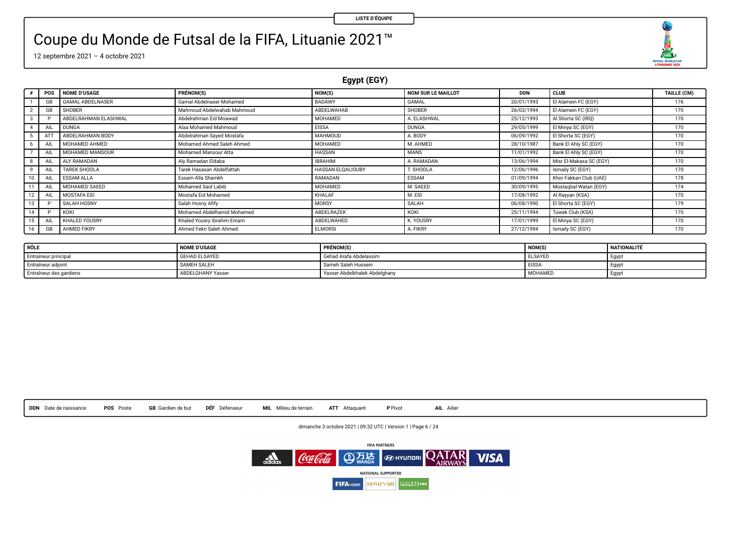O FUTSAL WORLD CUP

### Coupe du Monde de Futsal de la FIFA, Lituanie 2021™

12 septembre 2021 – 4 octobre 2021

**Egypt (EGY)**

| $\bullet$       | POS          | <b>NOME D'USAGE</b>     | PRÉNOM(S)                  | NOM(S)            | <b>NOM SUR LE MAILLOT</b> | <b>DDN</b> | CLUB                    | TAILLE (CM) |
|-----------------|--------------|-------------------------|----------------------------|-------------------|---------------------------|------------|-------------------------|-------------|
|                 | GB           | <b>GAMAL ABDELNASER</b> | Gamal Abdelnaser Mohamed   | BADAWY            | <b>GAMAL</b>              | 20/01/1993 | El Alamein FC (EGY)     | 176         |
|                 | GB           | <b>SHOBER</b>           | Mahmoud Abdelwahab Mahmoud | ABDELWAHAB        | <b>SHOBER</b>             | 26/03/1994 | El Alamein FC (EGY)     | 170         |
| 3               |              | ABDELRAHMAN ELASHWAL    | Abdelrahman Eid Moawad     | MOHAMED           | A. ELASHWAL               | 25/12/1993 | Al Shorta SC (IRO)      | 170         |
| $\sim$          | Alk          | <b>DUNGA</b>            | Alaa Mohamed Mahmoud       | <b>EISSA</b>      | <b>DUNGA</b>              | 29/05/1999 | El Minya SC (EGY)       | 170         |
|                 | AT           | ABDELRAHMAN BODY        | Abdelrahman Saved Mostafa  | <b>MAHMOUD</b>    | A. BODY                   | 06/09/1992 | El Shorta SC (EGY)      | 170         |
|                 | All          | MOHAMED AHMED           | Mohamed Ahmed Saleh Ahmed  | MOHAMED           | M. AHMED                  | 28/10/1987 | Bank El Ahly SC (EGY)   | 170         |
|                 | All          | MOHAMED MANSOUR         | Mohamed Mansour Atta       | <b>HASSAN</b>     | <b>MANS</b>               | 11/01/1992 | Bank El Ahly SC (EGY)   | 170         |
| 8               |              | ALY RAMADAN             | Alv Ramadan Eldaba         | <b>IBRAHIM</b>    | A. RAMADAN                | 13/06/1994 | Misr El-Makasa SC (EGY) | 170         |
| 9               | AI           | TAREK SHOOLA            | Tarek Hasasan Abdelfattah  | HASSAN ELOALIOUBY | T. SHOOLA                 | 12/06/1996 | Ismaily SC (EGY)        | 170         |
| 10              |              | <b>ESSAM ALLA</b>       | Essam Alla Shamkh          | RAMADAN           | ESSAM                     | 01/09/1994 | Khor Fakkan Club (UAE)  | 178         |
| 11              | AIL          | MOHAMED SAEED           | Mohamed Said Labib         | MOHAMED           | M. SAEED                  | 30/09/1995 | Mostagbal Watan (EGY)   | 174         |
| 12 <sup>1</sup> | All          | MOSTAFA EID             | Mostafa Eid Mohamed        | KHALAF            | M. EID                    | 17/08/1992 | Al Rayyan (KSA)         | 170         |
| 13              |              | SALAH HOSNY             | Salah Hosny Afify          | MORSY             | SALAH                     | 06/08/1990 | El Shorta SC (EGY)      | 179         |
| 14              | $\mathbf{D}$ | KOKI                    | Mohamed Abdelhamid Mohamed | ABDELRAZEK        | KOKI                      | 25/11/1994 | Tuwek Club (KSA)        | 170         |
| 15              | All          | KHALED YOUSRY           | Khaled Yousry Ibrahim Emam | ABDELWAHED        | K. YOUSRY                 | 17/01/1999 | El Minya SC (EGY)       | 170         |
| 16              | GB           | AHMED FIKRY             | Ahmed Fekri Saleh Ahmed    | <b>ELMORSI</b>    | A. FIKRY                  | 27/12/1994 | Ismaily SC (EGY)        | 170         |

| RÔLE                    | <b>NOME D'USAGE</b>      | <b>PRÉNOM(S)</b>              | NOM(S)         | NATIONALITÉ |
|-------------------------|--------------------------|-------------------------------|----------------|-------------|
| Entraîneur principal    | <b>GEHAD ELSAYED</b>     | Gehad Arafa Abdelassim        | <b>ELSAYED</b> | Egyp        |
| Entraîneur adjoint      | SAMEH SALEH              | Sameh Saleh Hussein           | <b>EISSA</b>   | Egyp        |
| Entraîneur des gardiens | <b>ABDELGHANY Yasser</b> | Yasser Abdelkhalek Abdelghany | MOHAMED        | Eavot       |

**DDN** Date de naissance **POS** Poste **GB** Gardien de but **DÉF** Défenseur **MIL** Milieu de terrain **ATT** Attaquant **P** Pivot **AIL** Ailier

dimanche 3 octobre 2021 | 09:32 UTC | Version 1 | Page 6 / 24

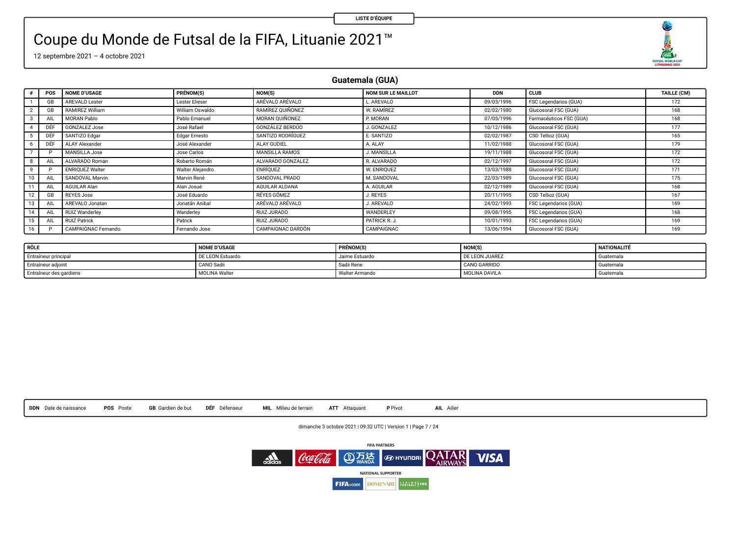O  $\begin{array}{r}\n\overbrace{\text{max}} \\
\overbrace{\text{max}} \\
\overbrace{\text{maxmax}} \\
\overbrace{\text{maxmax}} \\
\overbrace{\text{max}} \\
\overbrace{\text{max}} \\
\overbrace{\text{max}} \\
\overbrace{\text{max}} \\
\overbrace{\text{max}} \\
\overbrace{\text{max}} \\
\overbrace{\text{max}} \\
\overbrace{\text{max}} \\
\overbrace{\text{max}} \\
\overbrace{\text{max}} \\
\overbrace{\text{max}} \\
\overbrace{\text{max}} \\
\overbrace{\text{max}} \\
\overbrace{\text{max}} \\
\overbrace{\text{max}} \\
\overbrace{\text{max}} \\
\overbrace{\text{max}} \\
\overbrace{\text{max}} \\
\overbrace{\text{max}} \\
\overbrace$ 

### Coupe du Monde de Futsal de la FIFA, Lituanie 2021™

12 septembre 2021 – 4 octobre 2021

**Guatemala (GUA)**

|             | POS        | <b>NOME D'USAGE</b>    | PRÉNOM(S)        | NOM(S)            | NOM SUR LE MAILLOT | <b>DDN</b> | <b>CLUB</b>             | TAILLE (CM) |
|-------------|------------|------------------------|------------------|-------------------|--------------------|------------|-------------------------|-------------|
|             | GB         | AREVALO Lester         | Lester Elieser   | ARÉVALO ARÉVALO   | AREVALO            | 09/03/1996 | FSC Legendarios (GUA)   | 172         |
|             | <b>GB</b>  | RAMIREZ William        | William Oswaldo  | RAMÍREZ OUINONEZ  | W. RAMÍREZ         | 02/02/1980 | Glucosoral FSC (GUA)    | 168         |
| $3^{\circ}$ | All        | <b>MORAN Pablo</b>     | Pablo Emanuel    | MORAN OUIÑONEZ    | P. MORAN           | 07/05/1996 | Farmacéuticos FSC (GUA) | 168         |
| 4           | DÉF        | <b>GONZALEZ Jose</b>   | José Rafael      | GONZÁLEZ BERDÚO   | J. GONZALEZ        | 10/12/1986 | Glucosoral FSC (GUA)    | 177         |
|             |            | SANTIZO Edgar          | Edgar Ernesto    | SANTIZO RODRÍGUEZ | E. SANTIZO         | 02/02/1987 | CSD Tellioz (GUA)       | 165         |
| 6           | DÉF        | ALAY Alexander         | José Alexander   | ALAY GUDIEL       | A ALAY             | 11/02/1988 | Glucosoral FSC (GUA)    | 179         |
|             |            | <b>MANSILLA Jose</b>   | Jose Carlos      | MANSILLA RAMOS    | J. MANSILLA        | 19/11/1988 | Glucosoral FSC (GUA)    | 172         |
| 8           | <b>AIL</b> | ALVARADO Roman         | Roberto Román    | ALVARADO GONZALEZ | R. ALVARADO        | 02/12/1997 | Glucosoral FSC (GUA)    | 172         |
| 9           |            | <b>ENRIOUEZ Walter</b> | Walter Aleiandro | ENRÍOUEZ          | W. ENRIOUEZ        | 13/03/1988 | Glucosoral FSC (GUA)    | 171         |
| 10          | AIL        | SANDOVAL Marvin        | Marvin René      | SANDOVAL PRADO    | M. SANDOVAL        | 22/03/1989 | Glucosoral FSC (GUA)    | 175         |
|             | AIL        | AGUILAR Alan           | Alan Josué       | AGUILAR ALDANA    | A. AGUILAR         | 02/12/1989 | Glucosoral FSC (GUA)    | 168         |
| $12-12$     | GB         | <b>REYES Jose</b>      | José Eduardo     | RÉYES GÓMEZ       | J. REYES           | 20/11/1995 | CSD Tellioz (GUA)       | 167         |
| 13          | All        | AREVALO Jonatan        | Jonatán Anibal   | ARÉVALO ARÉVALO   | J. AREVALO         | 24/02/1993 | FSC Legendarios (GUA)   | 169         |
| 14          | AIL        | RUIZ Wanderley         | Wanderley        | RUIZ JURADO       | WANDERLEY          | 09/08/1995 | FSC Legendarios (GUA)   | 168         |
| 15          | AIL        | <b>RUIZ Patrick</b>    | Patrick          | RUIZ JURADO       | PATRICK R. J.      | 10/01/1993 | FSC Legendarios (GUA)   | 169         |
| 16          |            | CAMPAIGNAC Fernando    | Fernando Jose    | CAMPAIGNAC DARDON | CAMPAIGNAC         | 13/06/1994 | Glucosoral FSC (GUA)    | 169         |

| RÔLE                    | <b>NOME D'USAGE</b> | <b>PRÉNOM(S</b> | <b>NOM(S</b>   | NATIONALITÉ            |
|-------------------------|---------------------|-----------------|----------------|------------------------|
| Entraîneur principal    | DE LEON Estuardo    | Jaime Estuardo  | DE LEON JUAREZ | <sup>6</sup> Guatemal. |
| Entraîneur adjoint      | CANO Sadii          | Sadii Rene      | CANO GARRIDO   | Guatemal.              |
| Entraîneur des gardiens | MOLINA Walter       | Walter Armando  | MOLINA DAVILA  | Guatemal.              |

**DDN** Date de naissance **POS** Poste **GB** Gardien de but **DÉF** Défenseur **MIL** Milieu de terrain **ATT** Attaquant **P** Pivot **AIL** Ailier

dimanche 3 octobre 2021 | 09:32 UTC | Version 1 | Page 7 / 24

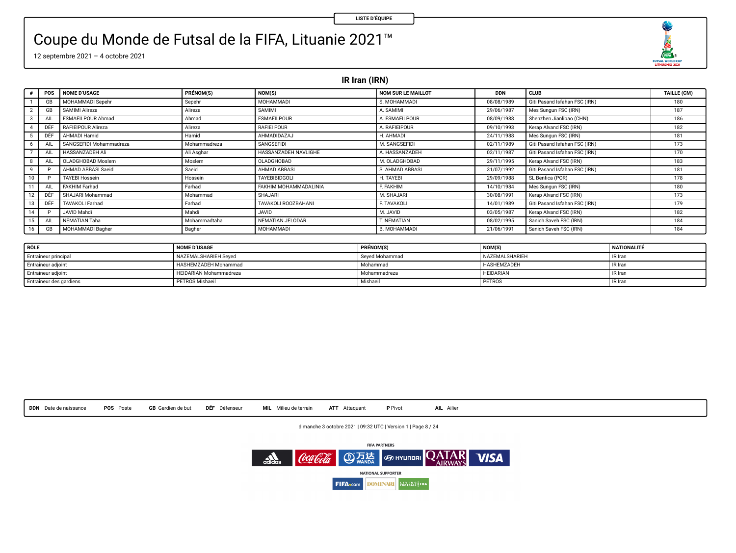**COM**<sub>2</sub><br>FUTSAL MORLD CUP

### Coupe du Monde de Futsal de la FIFA, Lituanie 2021™

12 septembre 2021 – 4 octobre 2021

**IR Iran (IRN)**

|              | POS       | NOME D'USAGE             | PRÉNOM(S)    | NOM(S)                | <b>NOM SUR LE MAILLOT</b> | <b>DDN</b> | <b>CLUB</b>                   | TAILLE (CM) |
|--------------|-----------|--------------------------|--------------|-----------------------|---------------------------|------------|-------------------------------|-------------|
|              | <b>GB</b> | MOHAMMADI Sepehr         | Sepehr       | MOHAMMADI             | S. MOHAMMADI              | 08/08/1989 | Giti Pasand Isfahan FSC (IRN) | 180         |
|              | <b>GB</b> | SAMIMI Alireza           | Alireza      | SAMIMI                | A. SAMIMI                 | 29/06/1987 | Mes Sungun FSC (IRN)          | 187         |
|              | AIL       | <b>ESMAEILPOUR Ahmad</b> | Ahmad        | <b>ESMAEILPOUR</b>    | A. ESMAEILPOUR            | 08/09/1988 | Shenzhen Jianlibao (CHN)      | 186         |
|              | DÉF       | RAFIEIPOUR Alireza       | Alireza      | RAFIEI POUR           | A. RAFIEIPOUR             | 09/10/1993 | Kerap Alvand FSC (IRN)        | 182         |
|              | DEF       | AHMADI Hamid             | Hamid        | AHMADIDAZAJ           | H. AHMADI                 | 24/11/1988 | Mes Sungun FSC (IRN)          | 181         |
|              | AIL       | SANGSEFIDI Mohammadreza  | Mohammadreza | SANGSEFIDI            | M. SANGSEFIDI             | 02/11/1989 | Giti Pasand Isfahan FSC (IRN) | 173         |
|              | AIL       | <b>HASSANZADEH Ali</b>   | Ali Asghar   | HASSANZADEH NAVLIGHE  | A. HASSANZADEH            | 02/11/1987 | Giti Pasand Isfahan FSC (IRN) | 170         |
|              | AIL       | OLADGHOBAD Moslem        | Moslem       | OLADGHOBAD            | M. OLADGHOBAD             | 29/11/1995 | Kerap Alvand FSC (IRN)        | 183         |
| $\mathbf{Q}$ |           | AHMAD ABBASI Saeid       | Saeid        | AHMAD ABBASI          | S. AHMAD ABBASI           | 31/07/1992 | Giti Pasand Isfahan FSC (IRN) | 181         |
| 10           |           | <b>TAYEBI Hossein</b>    | Hossein      | <b>TAYEBIBIDGOLI</b>  | H. TAYEBI                 | 29/09/1988 | SL Benfica (POR)              | 178         |
| 11           | AIL       | FAKHIM Farhad            | Farhad       | FAKHIM MOHAMMADALINIA | E. FAKHIM                 | 14/10/1984 | Mes Sungun FSC (IRN)          | 180         |
| 12           | DÉF       | SHAJARI Mohammad         | Mohammad     | SHAJARI               | M. SHAJARI                | 30/08/1991 | Kerap Alvand FSC (IRN)        | 173         |
| 13           | DEF       | <b>TAVAKOLI Farhad</b>   | Farhad       | TAVAKOLI ROOZBAHANI   | F. TAVAKOLI               | 14/01/1989 | Giti Pasand Isfahan FSC (IRN) | 179         |
| 14           |           | JAVID Mahdi              | Mahdi        | <b>JAVID</b>          | M. JAVID                  | 03/05/1987 | Kerap Alvand FSC (IRN)        | 182         |
| 15           | AIL       | NEMATIAN Taha            | Mohammadtaha | NEMATIAN JELODAR      | T. NEMATIAN               | 08/02/1995 | Sanich Saveh FSC (IRN)        | 184         |
| 16           | <b>GB</b> | <b>MOHAMMADI Bagher</b>  | Bagher       | MOHAMMADI             | <b>B. MOHAMMADI</b>       | 21/06/1991 | Sanich Saveh FSC (IRN)        | 184         |

| RÔLE                    | <b>NOME D'USAGE</b>           | PRÉNOM(S)      | NOM(S)           | NATIONALITÉ |
|-------------------------|-------------------------------|----------------|------------------|-------------|
| Entraîneur principal    | NAZEMALSHARIEH Seved          | Seved Mohammad | NAZEMAL SHARIEH  | IR Iran     |
| Entraîneur adjoint      | HASHEMZADEH Mohammad          | Mohammad       | HASHEMZADEH      | IR Iran     |
| Entraîneur adjoint      | <b>HEIDARIAN Mohammadreza</b> | Mohammadreza   | <b>HEIDARIAN</b> | IR Iran     |
| Entraîneur des gardiens | <b>PETROS Mishaeil</b>        | Mishaeil       | PETROS           | IR Iran     |

|  | DDN Date de naissance | <b>POS</b> Poste | <b>GB</b> Gardien de but | <b>DÉF</b> Défenseur | MIL Milieu de terrain | ATT Attaquant | P Pivot | AIL Ailier |
|--|-----------------------|------------------|--------------------------|----------------------|-----------------------|---------------|---------|------------|
|--|-----------------------|------------------|--------------------------|----------------------|-----------------------|---------------|---------|------------|

dimanche 3 octobre 2021 | 09:32 UTC | Version 1 | Page 8 / 24

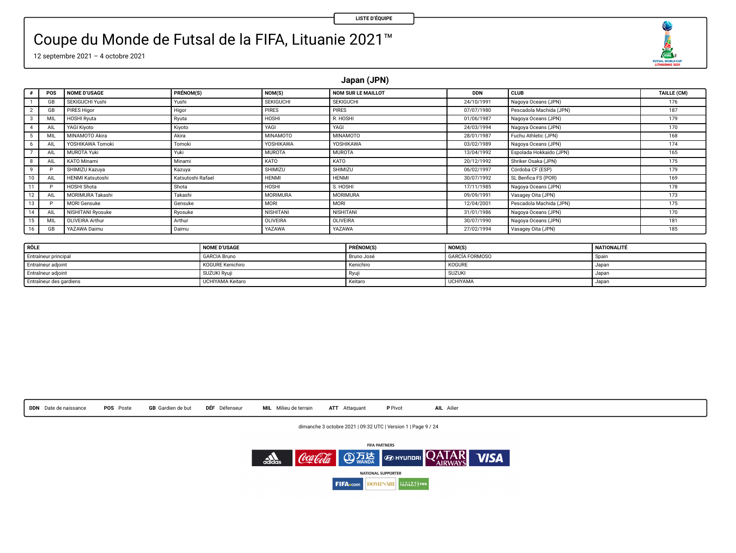**CDA**<sub>2</sub>

### Coupe du Monde de Futsal de la FIFA, Lituanie 2021™

12 septembre 2021 – 4 octobre 2021

**Japan (JPN)**

| $\epsilon$   | POS          | <b>NOME D'USAGE</b>     | PRÉNOM(S)         | NOM(S)           | <b>NOM SUR LE MAILLOT</b> | <b>DDN</b> | <b>CLUB</b>             | TAILLE (CM) |
|--------------|--------------|-------------------------|-------------------|------------------|---------------------------|------------|-------------------------|-------------|
|              | GB           | SEKIGUCHI Yushi         | Yushi             | <b>SEKIGUCHI</b> | <b>SEKIGUCHI</b>          | 24/10/1991 | Nagoya Oceans (JPN)     | 176         |
|              | <b>GB</b>    | <b>PIRES Higor</b>      | Higor             | PIRES            | <b>PIRES</b>              | 07/07/1980 | Pescadola Machida (JPN) | 187         |
| $3-1$        | <b>MIL</b>   | <b>HOSHI Ryuta</b>      | Ryuta             | HOSHI            | R. HOSHI                  | 01/06/1987 | Nagoya Oceans (JPN)     | 179         |
| $\Delta$     | AIL          | YAGI Kivoto             | Kiyoto            | YAGI             | YAGI                      | 24/03/1994 | Nagoya Oceans (JPN)     | 170         |
| 5            | <b>ML</b>    | MINAMOTO Akira          | Akira             | MINAMOTO         | <b>MINAMOTO</b>           | 28/01/1987 | Fuchu Athletic (JPN)    | 168         |
| 6.           | AIL          | YOSHIKAWA Tomoki        | Tomoki            | YOSHIKAWA        | YOSHIKAWA                 | 03/02/1989 | Nagoya Oceans (JPN)     | 174         |
|              | <b>AIL</b>   | <b>MUROTA Yuki</b>      | Yuki              | <b>MUROTA</b>    | <b>MUROTA</b>             | 13/04/1992 | Espolada Hokkaido (JPN) | 165         |
| 8            | AIL          | KATO Minami             | Minami            | KATO             | KATO                      | 20/12/1992 | Shriker Osaka (JPN)     | 175         |
| $\mathbf{Q}$ |              | SHIMIZU Kazuva          | Kazuva            | SHIMIZU          | SHIMIZU                   | 06/02/1997 | Córdoba CF (ESP)        | 179         |
| 10           | AIL          | <b>HENMI Katsutoshi</b> | Katsutoshi Rafael | <b>HENMI</b>     | <b>HENMI</b>              | 30/07/1992 | SL Benfica FS (POR)     | 169         |
| 11           | ۰            | HOSHI Shota             | Shota             | HOSHI            | S. HOSHI                  | 17/11/1985 | Nagoya Oceans (JPN)     | 178         |
| 12           | AIL          | MORIMURA Takashi        | Takashi           | <b>MORIMURA</b>  | MORIMURA                  | 09/09/1991 | Vasagey Oita (JPN)      | 173         |
| 13           | $\mathbf{D}$ | <b>MORI Gensuke</b>     | Gensuke           | MORI             | MORI                      | 12/04/2001 | Pescadola Machida (JPN) | 175         |
| 14           | AIL          | NISHITANI Ryosuke       | Ryosuke           | <b>NISHITANI</b> | NISHITANI                 | 31/01/1986 | Nagoya Oceans (JPN)     | 170         |
| 15           | <b>MIL</b>   | OLIVEIRA Arthur         | Arthur            | OLIVEIRA         | <b>OLIVEIRA</b>           | 30/07/1990 | Nagoya Oceans (JPN)     | 181         |
| 16           | GB           | YAZAWA Daimu            | Daimu             | YAZAWA           | YAZAWA                    | 27/02/1994 | Vasagey Oita (JPN)      | 185         |

| RÔLE                    | <b>NOME D'USAGE</b>     | PRÉNOM(S)  | NOM(S)                | <b>NATIONALITÉ</b> |
|-------------------------|-------------------------|------------|-----------------------|--------------------|
| Entraîneur principal    | <b>GARCIA Bruno</b>     | Bruno José | <b>GARCÍA FORMOSO</b> | Spain              |
| Entraîneur adjoint      | <b>KOGURE Kenichiro</b> | Kenichiro  | <b>KOGURE</b>         | Japar              |
| Entraîneur adjoint      | SUZUKI Ryuji            | Rvui       | <b>SUZUKI</b>         | Japar              |
| Entraîneur des gardiens | <b>UCHIYAMA Keitaro</b> | Keitaro    | <b>UCHIYAMA</b>       | Japar              |

**DDN** Date de naissance **POS** Poste **GB** Gardien de but **DÉF** Défenseur **MIL** Milieu de terrain **ATT** Attaquant **P** Pivot **AIL** Ailier

dimanche 3 octobre 2021 | 09:32 UTC | Version 1 | Page 9 / 24

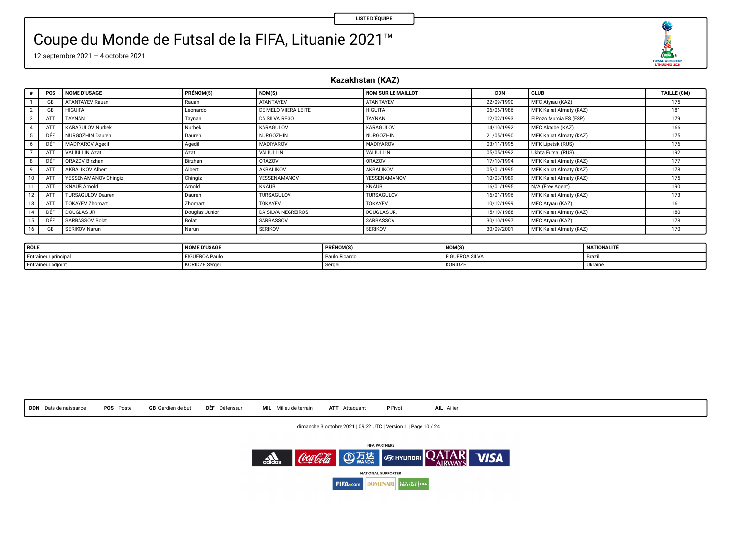O  $\begin{array}{r}\n\overbrace{\text{max}} \\
\overbrace{\text{max}} \\
\overbrace{\text{maxmax}} \\
\overbrace{\text{maxmax}} \\
\overbrace{\text{max}} \\
\overbrace{\text{max}} \\
\overbrace{\text{max}} \\
\overbrace{\text{max}} \\
\overbrace{\text{max}} \\
\overbrace{\text{max}} \\
\overbrace{\text{max}} \\
\overbrace{\text{max}} \\
\overbrace{\text{max}} \\
\overbrace{\text{max}} \\
\overbrace{\text{max}} \\
\overbrace{\text{max}} \\
\overbrace{\text{max}} \\
\overbrace{\text{max}} \\
\overbrace{\text{max}} \\
\overbrace{\text{max}} \\
\overbrace{\text{max}} \\
\overbrace{\text{max}} \\
\overbrace{\text{max}} \\
\overbrace$ 

### Coupe du Monde de Futsal de la FIFA, Lituanie 2021™

12 septembre 2021 – 4 octobre 2021

**Kazakhstan (KAZ)**

| $\bullet$      | POS             | <b>NOME D'USAGE</b>      | PRÉNOM(S)      | NOM(S)                    | NOM SUR LE MAILLOT | <b>DDN</b> | <b>CLUB</b>             | TAILLE (CM) |
|----------------|-----------------|--------------------------|----------------|---------------------------|--------------------|------------|-------------------------|-------------|
|                | GB              | <b>ATANTAYEV Rauan</b>   | Rauan          | ATANTAYEV                 | ATANTAYEV          | 22/09/1990 | MFC Atyrau (KAZ)        | 175         |
| $\overline{2}$ | GB              | <b>HIGUITA</b>           | Leonardo       | DE MELO VIIERA LEITE      | <b>HIGUITA</b>     | 06/06/1986 | MFK Kairat Almaty (KAZ) | 181         |
| $3-1$          | ATT             | TAYNAN                   | Taynan         | <b>DA SILVA REGO</b>      | TAYNAN             | 12/02/1993 | ElPozo Murcia FS (ESP)  | 179         |
| 4              | AT <sup>7</sup> | <b>KARAGULOV Nurbek</b>  | Nurbek         | KARAGULOV                 | KARAGULOV          | 14/10/1992 | MFC Aktobe (KAZ)        | 166         |
|                |                 | <b>NURGOZHIN Dauren</b>  | Dauren         | <b>NURGOZHIN</b>          | <b>NURGOZHIN</b>   | 21/05/1990 | MFK Kairat Almaty (KAZ) | 175         |
| 6              | DÉF             | MADIYAROV Agedil         | Agedil         | MADIYAROV                 | MADIYAROV          | 03/11/1995 | MFK Lipetsk (RUS)       | 176         |
|                | ATT             | <b>VALIULLIN Azat</b>    | Azat           | VALIULLIN                 | VALIULLIN          | 05/05/1992 | Ukhta Futsal (RUS)      | 192         |
| 8              | DÉF             | ORAZOV Birzhan           | Birzhan        | ORAZOV                    | ORAZOV             | 17/10/1994 | MFK Kairat Almaty (KAZ) | 177         |
| 9              | ATT             | AKBALIKOV Albert         | Albert         | AKBALIKOV                 | AKBALIKOV          | 05/01/1995 | MFK Kairat Almaty (KAZ) | 178         |
| 10             | ATT             | YESSENAMANOV Chingiz     | Chingiz        | YESSENAMANOV              | YESSENAMANOV       | 10/03/1989 | MFK Kairat Almaty (KAZ) | 175         |
|                | ATT             | <b>KNAUB Arnold</b>      | Arnold         | KNAUB                     | KNAUB              | 16/01/1995 | N/A (Free Agent)        | 190         |
| 12             | ATT             | <b>TURSAGULOV Dauren</b> | Dauren         | TURSAGULOV                | TURSAGULOV         | 16/01/1996 | MFK Kairat Almaty (KAZ) | 173         |
| 13             | ATT             | <b>TOKAYEV Zhomart</b>   | Zhomart        | <b>TOKAYEV</b>            | <b>TOKAYEV</b>     | 10/12/1999 | MFC Atyrau (KAZ)        | 161         |
| 14             | DÉF             | DOUGLAS JR.              | Douglas Junior | <b>DA SILVA NEGREIROS</b> | DOUGLAS JR.        | 15/10/1988 | MFK Kairat Almaty (KAZ) | 180         |
| 15             | DÉF             | SARBASSOV Bolat          | Bolat          | SARBASSOV                 | SARBASSOV          | 30/10/1997 | MFC Atyrau (KAZ)        | 178         |
| 16             | <b>GB</b>       | SERIKOV Narun            | Narun          | <b>SERIKOV</b>            | <b>SERIKOV</b>     | 30/09/2001 | MFK Kairat Almaty (KAZ) | 170         |

| RÔLE                 | <b>NOME D'USAGE</b>   | PRÉNOM(S)     | <b>NOM(S)</b>         | NATIONALITE |
|----------------------|-----------------------|---------------|-----------------------|-------------|
| Entraîneur principal | <b>FIGUEROA Paulo</b> | Paulo Ricardo | <b>FIGUEROA SILVA</b> | - Brazı     |
| Entraîneur adjoint   | KORIDZE Serge.        | -90           | KORIDZE               | Ukrain-     |



dimanche 3 octobre 2021 | 09:32 UTC | Version 1 | Page 10 / 24

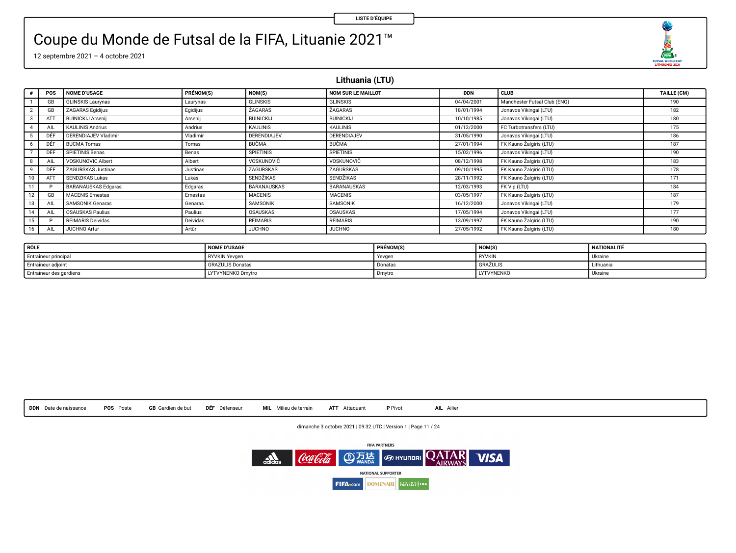O  $\begin{array}{r}\n\overbrace{\text{max}} \\
\overbrace{\text{max}} \\
\overbrace{\text{maxmax}} \\
\overbrace{\text{maxmax}} \\
\overbrace{\text{max}} \\
\overbrace{\text{max}} \\
\overbrace{\text{max}} \\
\overbrace{\text{max}} \\
\overbrace{\text{max}} \\
\overbrace{\text{max}} \\
\overbrace{\text{max}} \\
\overbrace{\text{max}} \\
\overbrace{\text{max}} \\
\overbrace{\text{max}} \\
\overbrace{\text{max}} \\
\overbrace{\text{max}} \\
\overbrace{\text{max}} \\
\overbrace{\text{max}} \\
\overbrace{\text{max}} \\
\overbrace{\text{max}} \\
\overbrace{\text{max}} \\
\overbrace{\text{max}} \\
\overbrace{\text{max}} \\
\overbrace$ 

## Coupe du Monde de Futsal de la FIFA, Lituanie 2021™

12 septembre 2021 – 4 octobre 2021

**Lithuania (LTU)**

|    | POS | <b>NOME D'USAGE</b>        | PRÉNOM(S) | NOM(S)             | <b>NOM SUR LE MAILLOT</b> | <b>DDN</b> | <b>CLUB</b>                  | TAILLE (CM) |
|----|-----|----------------------------|-----------|--------------------|---------------------------|------------|------------------------------|-------------|
|    | GB  | <b>GLINSKIS Laurynas</b>   | Laurynas  | <b>GLINSKIS</b>    | <b>GLINSKIS</b>           | 04/04/2001 | Manchester Futsal Club (ENG) | 190         |
|    | GB  | <b>ZAGARAS Egidijus</b>    | Egidijus  | <b>ZAGARAS</b>     | <b>ZAGARAS</b>            | 18/01/1994 | Jonavos Vikingai (LTU)       | 182         |
|    | ATT | <b>BUINICKIJ Arsenii</b>   | Arsenij   | <b>BUINICKIJ</b>   | <b>BUINICKIJ</b>          | 10/10/1985 | Jonavos Vikingai (LTU)       | 180         |
|    | AIL | <b>KAULINIS Andrius</b>    | Andrius   | <b>KAULINIS</b>    | <b>KAULINIS</b>           | 01/12/2000 | FC Turbotransfers (LTU)      | 175         |
|    | DÊF | DERENDIAJEV Vladimir       | Viadimir  | <b>DERENDIAJEV</b> | <b>DERENDIAJEV</b>        | 31/05/1990 | Jonavos Vikingai (LTU)       | 186         |
|    | DÉF | <b>BUCMA Tomas</b>         | Tomas     | <b>BUCMA</b>       | <b>BUCMA</b>              | 27/01/1994 | FK Kauno Žalgiris (LTU)      | 187         |
|    | DÊF | SPIETINIS Benas            | Benas     | <b>SPIETINIS</b>   | <b>SPIETINIS</b>          | 15/02/1996 | Jonavos Vikingai (LTU)       | 190         |
|    | AIL | VOSKUNOVIC Albert          | Albert    | VOSKUNOVIČ         | VOSKUNOVIČ                | 08/12/1998 | FK Kauno Zalgiris (LTU)      | 183         |
|    | DÉF | ZAGURSKAS Justinas         | Justinas  | ZAGURSKAS          | ZAGURSKAS                 | 09/10/1995 | FK Kauno Žalgiris (LTU)      | 178         |
|    | ATT | SENDZIKAS Lukas            | Lukas     | SENDŽIKAS          | <b>SENDŽIKAS</b>          | 28/11/1992 | FK Kauno Zalgiris (LTU)      | 171         |
| 11 |     | <b>BARANAUSKAS Edgaras</b> | Edgaras   | <b>BARANAUSKAS</b> | BARANAUSKAS               | 12/03/1993 | FK Vip (LTU)                 | 184         |
|    | GB  | <b>MACENIS Ernestas</b>    | Ernestas  | <b>MACENIS</b>     | <b>MACENIS</b>            | 03/05/1997 | FK Kauno Žalgiris (LTU)      | 187         |
| 13 | AIL | <b>SAMSONIK Genaras</b>    | Genaras   | SAMSONIK           | SAMSONIK                  | 16/12/2000 | Jonavos Vikingai (LTU)       | 179         |
| 14 | AIL | <b>OSAUSKAS Paulius</b>    | Paulius   | OSAUSKAS           | OSAUSKAS                  | 17/05/1994 | Jonavos Vikingai (LTU)       | 177         |
| 15 |     | <b>REIMARIS Deividas</b>   | Deividas  | <b>REIMARIS</b>    | <b>REIMARIS</b>           | 13/09/1997 | FK Kauno Žalgiris (LTU)      | 190         |
| 16 | AIL | <b>JUCHNO Artur</b>        | Artür     | <b>JUCHNO</b>      | <b>JUCHNO</b>             | 27/05/1992 | FK Kauno Zalgiris (LTU)      | 180         |

| RÔLE                    | <b>NOME D'USAGE</b>     | <b>PRÉNOM(S</b> | <b>NOM(S)</b>     | NATIONALITÉ    |
|-------------------------|-------------------------|-----------------|-------------------|----------------|
| Entraîneur principal    | <b>RYVKIN Yevgen</b>    | Yevgen          | <b>RYVKIN</b>     | <b>Ukrains</b> |
| Entraîneur adjoint      | <b>GRAZULIS Donatas</b> | Donatas         | GRAZULI:          | Lithuania      |
| Entraîneur des gardiens | LYTVYNENKO Dmytro       | Dmytro          | <b>LYTVYNENKO</b> | <b>Ukrains</b> |

**DDN** Date de naissance **POS** Poste **GB** Gardien de but **DÉF** Défenseur **MIL** Milieu de terrain **ATT** Attaquant **P** Pivot **AIL** Ailier

dimanche 3 octobre 2021 | 09:32 UTC | Version 1 | Page 11 / 24

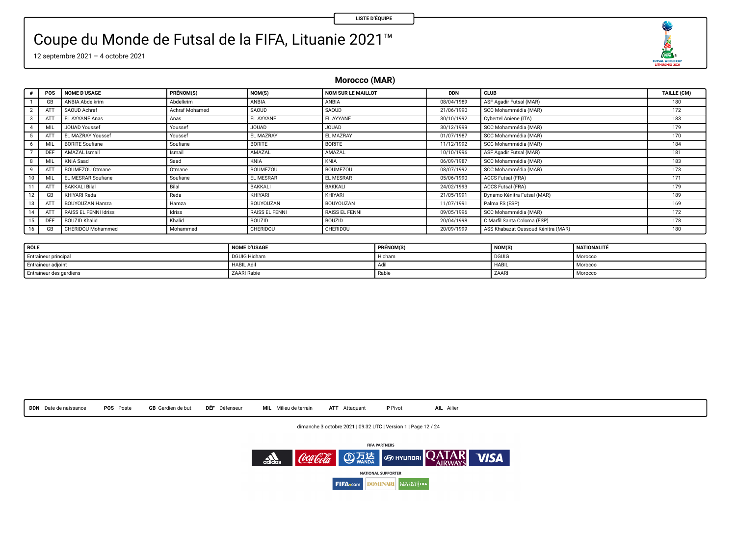O **COM**<sub>2</sub><br>FUTSAL MORLD CUP

### Coupe du Monde de Futsal de la FIFA, Lituanie 2021™

12 septembre 2021 – 4 octobre 2021

**Morocco (MAR)**

| $\theta$        | POS | <b>NOME D'USAGE</b>      | PRÉNOM(S)      | NOM(S)          | NOM SUR LE MAILLOT | <b>DDN</b> | <b>CLUB</b>                        | TAILLE (CM) |
|-----------------|-----|--------------------------|----------------|-----------------|--------------------|------------|------------------------------------|-------------|
|                 | GB  | ANBIA Abdelkrim          | Abdelkrim      | ANBIA           | ANBIA              | 08/04/1989 | ASF Agadir Futsal (MAR)            | 180         |
|                 | ATT | SAOUD Achraf             | Achraf Mohamed | SAOUD           | SAOUD              | 21/06/1990 | SCC Mohammédia (MAR)               | 172         |
| $3-1$           | ATT | EL AYYANE Anas           | Anas           | EL AYYANE       | EL AYYANE          | 30/10/1992 | Cybertel Aniene (ITA)              | 183         |
| 4               | MI  | <b>JOUAD Youssef</b>     | Youssef        | <b>JOUAD</b>    | <b>JOUAD</b>       | 30/12/1999 | SCC Mohammédia (MAR)               | 179         |
|                 | ATT | <b>EL MAZRAY Youssef</b> | Youssef        | EL MAZRAY       | EL MAZRAY          | 01/07/1987 | SCC Mohammédia (MAR)               | 170         |
| 6               | MI  | <b>BORITE Soufiane</b>   | Soufiane       | BORITE          | <b>BORITE</b>      | 11/12/1992 | SCC Mohammédia (MAR)               | 184         |
|                 | DÊF | AMAZAL Ismail            | Ismail         | AMAZAL          | AMAZAL             | 10/10/1996 | ASF Agadir Futsal (MAR)            | 181         |
| 8               | MIL | KNIA Saad                | Saad           | KNIA            | KNIA               | 06/09/1987 | SCC Mohammédia (MAR)               | 183         |
| 9               | ATT | BOUMEZOU Otmane          | Otmane         | <b>BOUMEZOU</b> | BOUMEZOU           | 08/07/1992 | SCC Mohammédia (MAR)               | 173         |
| 10              | MI  | EL MESRAR Soufiane       | Soufrane       | EL MESRAR       | EL MESRAR          | 05/06/1990 | <b>ACCS Futsal (FRA)</b>           | 171         |
|                 | ATT | <b>BAKKALI Bilal</b>     | Bilal          | BAKKALI         | BAKKALI            | 24/02/1993 | <b>ACCS Futsal (FRA)</b>           | 179         |
| 12 <sup>1</sup> | GB  | KHIYARI Reda             | Reda           | KHIYARI         | KHIYARI            | 21/05/1991 | Dynamo Kénitra Futsal (MAR)        | 189         |
| 13              | ATT | BOUYOUZAN Hamza          | Hamza          | BOUYOUZAN       | BOUYOUZAN          | 11/07/1991 | Palma FS (ESP)                     | 169         |
| 14              | ATT | RAISS EL FENNI Idriss    | Idriss         | RAISS EL FENNI  | RAISS EL FENNI     | 09/05/1996 | SCC Mohammédia (MAR)               | 172         |
| 15              | DÉF | <b>BOUZID Khalid</b>     | Khalid         | BOUZID          | <b>BOUZID</b>      | 20/04/1998 | C Marfil Santa Coloma (ESP)        | 178         |
| 16              | GB  | CHERIDOU Mohammed        | Mohammed       | CHERIDOU        | CHERIDOU           | 20/09/1999 | ASS Khabazat Oussoud Kénitra (MAR) | 180         |

| RÔLE                    | <b>NOME D'USAGE</b> | PRÉNOM(S) | <b>NOM(S</b> | <b>NATIONALITÉ</b> |
|-------------------------|---------------------|-----------|--------------|--------------------|
| Entraîneur principal    | <b>DGUIG Hicham</b> | Hichan.   | <b>DGUIG</b> | Morocco            |
| Entraîneur adjoint      | <b>HABIL Adi</b>    |           | <b>HABIL</b> | Morocco            |
| Entraîneur des gardiens | <b>ZAARI Rabie</b>  | Rabi      | ZAAR         | Morocco            |



dimanche 3 octobre 2021 | 09:32 UTC | Version 1 | Page 12 / 24

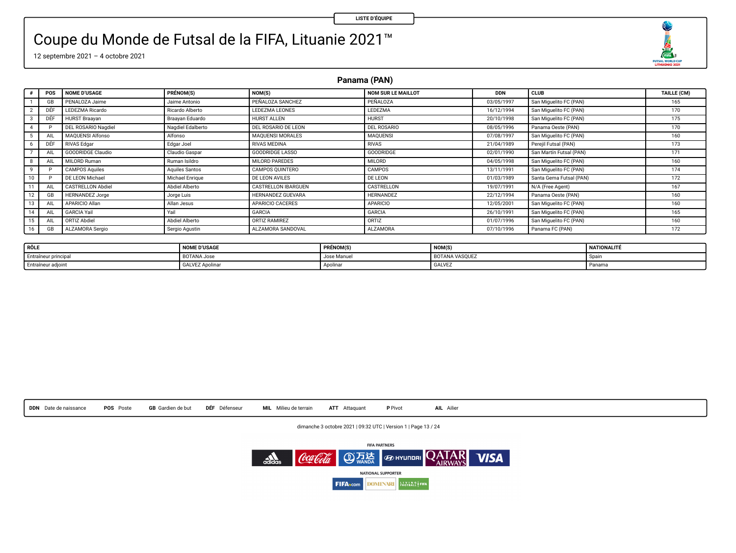O FUTSAL WORLD CUP

### Coupe du Monde de Futsal de la FIFA, Lituanie 2021™

12 septembre 2021 – 4 octobre 2021

**Panama (PAN)**

|              | POS       | <b>NOME D'USAGE</b>      | PRÉNOM(S)         | NOM(S)                     | <b>NOM SUR LE MAILLOT</b> | <b>DDN</b> | <b>CLUB</b>             | TAILLE (CM) |
|--------------|-----------|--------------------------|-------------------|----------------------------|---------------------------|------------|-------------------------|-------------|
|              | GB        | PENALOZA Jaime           | Jaime Antonio     | PEÑALOZA SANCHEZ           | PEÑALOZA                  | 03/05/1997 | San Miquelito FC (PAN)  | 165         |
| $\mathbf{2}$ | DÊF       | LEDEZMA Ricardo          | Ricardo Alberto   | LEDEZMA LEONES             | <b>LEDEZMA</b>            | 16/12/1994 | San Miquelito FC (PAN)  | 170         |
|              | DÉF       | <b>HURST Braavan</b>     | Braavan Eduardo   | HURST ALLEN                | <b>HURST</b>              | 20/10/1998 | San Miquelito FC (PAN)  | 175         |
| 4            |           | DEL ROSARIO Nagdiel      | Nagdiel Edalberto | DEL ROSARIO DE LEON        | DEL ROSARIO               | 08/05/1996 | Panama Oeste (PAN)      | 170         |
| 5            | All       | <b>MAQUENSI Alfonso</b>  | Alfonso           | <b>MAQUENSI MORALES</b>    | <b>MAQUENSI</b>           | 07/08/1997 | San Miquelito FC (PAN)  | 160         |
| 6            | DÉF       | <b>RIVAS Edgar</b>       | Edgar Joel        | <b>RIVAS MEDINA</b>        | RIVAS                     | 21/04/1989 | Pereil Futsal (PAN)     | 173         |
|              | All       | GOODRIDGE Claudio        | Claudio Gaspar    | <b>GOODRIDGE LASSO</b>     | GOODRIDGE                 | 02/01/1990 | San Martin Futsal (PAN) | 171         |
| 8            | AIL       | MILORD Ruman             | Ruman Isildro     | MILORD PAREDES             | <b>MILORD</b>             | 04/05/1998 | San Miquelito FC (PAN)  | 160         |
| 9            |           | <b>CAMPOS Aquiles</b>    | Aquiles Santos    | CAMPOS QUINTERO            | CAMPOS                    | 13/11/1991 | San Miquelito FC (PAN)  | 174         |
| 10           |           | DE LEON Michael          | Michael Enrique   | DE LEON AVILES             | <b>DE LEON</b>            | 01/03/1989 | Santa Gema Futsal (PAN) | 172         |
| 11           | AIL       | <b>CASTRELLON Abdiel</b> | Abdiel Alberto    | <b>CASTRELLON IBARGUEN</b> | CASTRELLON                | 19/07/1991 | N/A (Free Agent)        | 167         |
| 12           | GB        | <b>HERNANDEZ Jorge</b>   | Jorge Luis        | HERNANDEZ GUEVARA          | <b>HERNANDEZ</b>          | 22/12/1994 | Panama Oeste (PAN)      | 160         |
| 13           | AIL       | APARICIO Allan           | Allan Jesus       | APARICIO CACERES           | <b>APARICIO</b>           | 12/05/2001 | San Miquelito FC (PAN)  | 160         |
| 14           | AIL       | GARCIA Yail              | Yail              | <b>GARCIA</b>              | GARCIA                    | 26/10/1991 | San Miquelito FC (PAN)  | 165         |
| 15           | All       | ORTIZ Abdiel             | Abdiel Alberto    | ORTIZ RAMIREZ              | ORTIZ                     | 01/07/1996 | San Miquelito FC (PAN)  | 160         |
| 16           | <b>GB</b> | ALZAMORA Sergio          | Sergio Agustin    | ALZAMORA SANDOVAL          | <b>ALZAMORA</b>           | 07/10/1996 | Panama FC (PAN)         | 172         |

| RÔLE                 | <b>NOME D'USAGE</b> | PRÉNOM(S)   | NOM(S)                | NATIONALITÉ |
|----------------------|---------------------|-------------|-----------------------|-------------|
| Entraîneur principal | BOTANA Jose         | Jose Manuel | <b>BOTANA VASOUEZ</b> | -503        |
| Entraîneur adjoint   | GALVEZ Apolina      | Apolinar    | <b>GALVEZ</b>         | Panama      |



dimanche 3 octobre 2021 | 09:32 UTC | Version 1 | Page 13 / 24

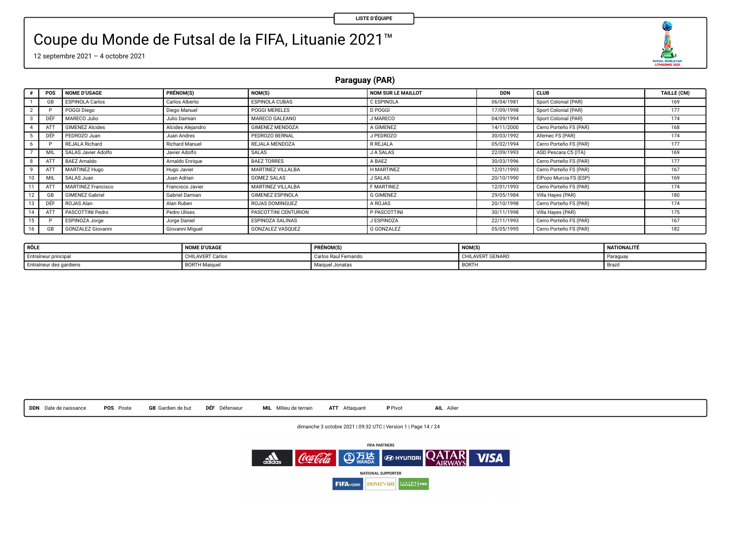O  $\begin{array}{r}\n\overbrace{\text{max}} \\
\overbrace{\text{max}} \\
\overbrace{\text{maxmax}} \\
\overbrace{\text{maxmax}} \\
\overbrace{\text{max}} \\
\overbrace{\text{max}} \\
\overbrace{\text{max}} \\
\overbrace{\text{max}} \\
\overbrace{\text{max}} \\
\overbrace{\text{max}} \\
\overbrace{\text{max}} \\
\overbrace{\text{max}} \\
\overbrace{\text{max}} \\
\overbrace{\text{max}} \\
\overbrace{\text{max}} \\
\overbrace{\text{max}} \\
\overbrace{\text{max}} \\
\overbrace{\text{max}} \\
\overbrace{\text{max}} \\
\overbrace{\text{max}} \\
\overbrace{\text{max}} \\
\overbrace{\text{max}} \\
\overbrace{\text{max}} \\
\overbrace$ 

## Coupe du Monde de Futsal de la FIFA, Lituanie 2021™

12 septembre 2021 – 4 octobre 2021

**Paraguay (PAR)**

|    | POS | <b>NOME D'USAGE</b>       | PRÉNOM(S)          | NOM(S)                  | NOM SUR LE MAILLOT | <b>DDN</b> | <b>CLUB</b>            | TAILLE (CM) |
|----|-----|---------------------------|--------------------|-------------------------|--------------------|------------|------------------------|-------------|
|    | GB  | <b>ESPINOLA Carlos</b>    | Carlos Alberto     | <b>ESPINOLA CUBAS</b>   | C ESPINOLA         | 06/04/1981 | Sport Colonial (PAR)   | 169         |
|    |     | POGGI Diego               | Diego Manuel       | <b>POGGI MERELES</b>    | <b>D POGGI</b>     | 17/09/1998 | Sport Colonial (PAR)   | 177         |
|    | DEF | MARECO Julio              | Julio Damian       | MARECO GALEANO          | J MARECO           | 04/09/1994 | Sport Colonial (PAR)   | 174         |
|    | ATT | <b>GIMENEZ Alcides</b>    | Alcides Aleiandro  | <b>GIMENEZ MENDOZA</b>  | A GIMENEZ          | 14/11/2000 | Cerro Porteño FS (PAR) | 168         |
|    | DÉF | PEDROZO Juan              | <b>Juan Andres</b> | PEDROZO BERNAL          | J PEDROZO          | 30/03/1992 | Afemec FS (PAR)        | 174         |
|    |     | <b>REJALA Richard</b>     | Richard Manuel     | REJALA MENDOZA          | R REJALA           | 05/02/1994 | Cerro Porteño FS (PAR) | 177         |
|    | MIL | SALAS Javier Adolfo       | Javier Adolfo      | SALAS                   | <b>JA SALAS</b>    | 22/09/1993 | ASD Pescara C5 (ITA)   | 169         |
|    | ATT | <b>BAEZ Arnaldo</b>       | Arnaldo Enrique    | <b>BAEZ TORRES</b>      | A BAEZ             | 30/03/1996 | Cerro Porteño FS (PAR) | 177         |
|    | ATT | MARTINEZ Hugo             | Hugo Javier        | MARTINEZ VILLALBA       | H MARTINEZ         | 12/01/1993 | Cerro Porteño FS (PAR) | 167         |
|    | MIL | SALAS Juan                | Juan Adrian        | <b>GOMEZ SALAS</b>      | <b>J SALAS</b>     | 20/10/1990 | ElPozo Murcia FS (ESP) | 169         |
|    | ATT | <b>MARTINEZ Francisco</b> | Francisco Javier   | MARTINEZ VILLALBA       | <b>F MARTINEZ</b>  | 12/01/1993 | Cerro Porteño FS (PAR) | 174         |
|    | GB  | <b>GIMENEZ Gabriel</b>    | Gabriel Damian     | <b>GIMENEZ ESPINOLA</b> | <b>G GIMENEZ</b>   | 29/05/1984 | Villa Haves (PAR)      | 180         |
|    | DEF | ROJAS Alan                | Alan Ruben         | ROJAS DOMINGUEZ         | A ROJAS            | 20/10/1998 | Cerro Porteño FS (PAR) | 174         |
|    | ATT | PASCOTTINI Pedro          | Pedro Ulises       | PASCOTTINI CENTURION    | P PASCOTTINI       | 30/11/1998 | Villa Hayes (PAR)      | 175         |
|    |     | ESPINOZA Jorge            | Jorge Daniel       | ESPINOZA SALINAS        | J ESPINOZA         | 22/11/1993 | Cerro Porteño FS (PAR) | 167         |
| 16 | GB  | <b>GONZALEZ Giovanni</b>  | Giovanni Miquel    | <b>GONZALEZ VASOUEZ</b> | <b>G GONZALEZ</b>  | 05/05/1995 | Cerro Porteño FS (PAR) | 182         |

| RÔLE                    | <b>NOME D'USAGE</b> | PRÉNOM(S)            | NOM(S)           | NATIONALITÉ |
|-------------------------|---------------------|----------------------|------------------|-------------|
| Entraîneur principal    | CHILAVERT Carlos    | Carlos Raul Fernando | CHILAVERT GENARO | Paraguay    |
| Entraîneur des gardiens | <b>BORTH Maigue</b> | Majquel Jonatas      | BORTH            | Brazi       |



dimanche 3 octobre 2021 | 09:32 UTC | Version 1 | Page 14 / 24

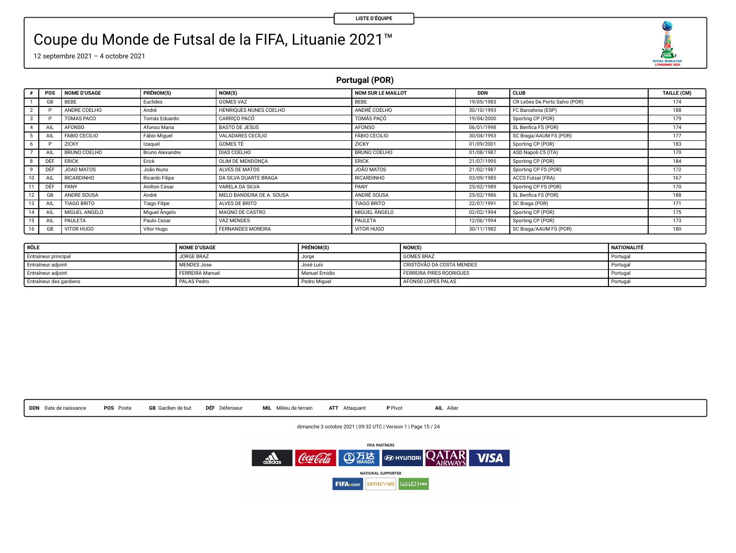### Coupe du Monde de Futsal de la FIFA, Lituanie 2021™

12 septembre 2021 – 4 octobre 2021

### **Portugal (POR)**

|    | POS | <b>NOME D'USAGE</b>  | PRÉNOM(S)              | NOM(S)                    | NOM SUR LE MAILLOT | <b>DDN</b> | CLUB                          | <b>TAILLE (CM)</b> |
|----|-----|----------------------|------------------------|---------------------------|--------------------|------------|-------------------------------|--------------------|
|    | GB  | BEBE                 | Euclides               | <b>GOMES VAZ</b>          | BEBE               | 19/05/1983 | CR Leões De Porto Salvo (POR) | 174                |
|    |     | ANDRE COELHO         | André                  | HENRIOUES NUNES COELHO    | ANDRÉ COELHO       | 30/10/1993 | FC Barcelona (ESP)            | 188                |
|    |     | TOMAS PACO           | Tomás Eduardo          | CARRICO PACÓ              | TOMÁS PACÓ         | 19/04/2000 | Sporting CP (POR)             | 179                |
|    | All | <b>AFONSO</b>        | Afonso Maria           | <b>BASTO DE JESUS</b>     | AFONSO             | 06/01/1998 | SL Benfica FS (POR)           | 174                |
|    | All | <b>FABIO CECILIO</b> | Fábio Miguel           | VALADARES CECÍLIO         | FÁBIO CECILIO      | 30/04/1993 | SC Braga/AAUM FS (POR)        | 177                |
|    |     | ZICKY                | Izaquel                | GOMES TÉ                  | ZICKY              | 01/09/2001 | Sporting CP (POR)             | 183                |
|    | All | BRUNO COELHO         | <b>Bruno Alexandre</b> | DIAS COELHO               | BRUNO COELHO       | 01/08/1987 | ASD Napoli C5 (ITA)           | 170                |
|    | DÉF | <b>ERICK</b>         | Erick                  | OLIM DE MENDONCA          | <b>ERICK</b>       | 21/07/1995 | Sporting CP (POR)             | 184                |
|    | DÉF | JOAO MATOS           | João Nuno              | ALVES DE MATOS            | JOÃO MATOS         | 21/02/1987 | Sporting CP FS (POR)          | 172                |
|    | AIL | <b>RICARDINHO</b>    | Ricardo Filipe         | DA SILVA DUARTE BRAGA     | <b>RICARDINHO</b>  | 03/09/1985 | ACCS Futsal (FRA)             | 167                |
|    | DÉF | PANY                 | Anilton César          | VARELA DA SILVA           | PANY               | 25/02/1989 | Sporting CP FS (POR)          | 170                |
|    | GB  | ANDRE SOUSA          | André                  | MELO BANDEIRA DE A. SOUSA | ANDRÉ SOUSA        | 25/02/1986 | SL Benfica FS (POR)           | 188                |
|    | AIL | <b>TIAGO BRITO</b>   | <b>Tiago Filipe</b>    | ALVES DE BRITO            | <b>TIAGO BRITO</b> | 22/07/1991 | SC Braga (POR)                | 171                |
|    | AIL | MIGUEL ANGELO        | Miguel Angelo          | MAGNO DE CASTRO           | MIGUEL ANGELO      | 02/02/1994 | Sporting CP (POR)             | 175                |
| 15 | All | PAULETA              | Paulo Cesar            | VAZ MENDES                | PAULETA            | 12/06/1994 | Sporting CP (POR)             | 173                |
| 16 | GB  | VITOR HUGO           | Vitor Hugo             | <b>FERNANDES MOREIRA</b>  | VITOR HUGO         | 30/11/1982 | SC Braga/AAUM FS (POR)        | 180                |

| RÔLE                    | <b>NOME D'USAGE</b>    | PRÉNOM(S)     | NOM(S)                    | NATIONALITÉ |
|-------------------------|------------------------|---------------|---------------------------|-------------|
| Entraîneur principal    | JORGE BRAZ             | Jorge         | <b>GOMES BRAZ</b>         | Portugal    |
| Entraîneur adjoint      | MENDES Jose            | José Luis     | CRISTÓVÃO DA COSTA MENDES | Portugal    |
| Entraîneur adjoint      | <b>FERREIRA Manuel</b> | Manuel Emidio | FERREIRA PIRES RODRIGUES  | Portugal    |
| Entraîneur des gardiens | PALAS Pedro            | Pedro Miguel  | AFONSO LOPES PALAS        | Portugal    |



dimanche 3 octobre 2021 | 09:32 UTC | Version 1 | Page 15 / 24



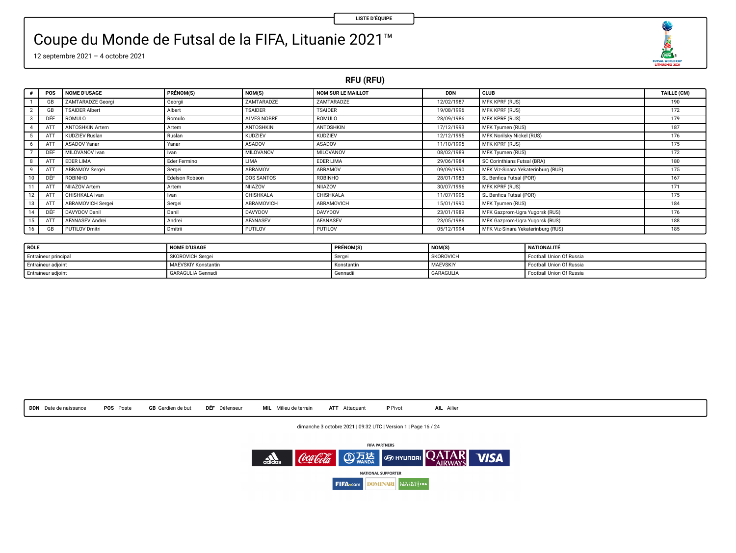O FUTSAL WORLD CUP

### Coupe du Monde de Futsal de la FIFA, Lituanie 2021™

12 septembre 2021 – 4 octobre 2021

**RFU (RFU)**

|    | POS | <b>NOME D'USAGE</b>    | PRÉNOM(S)      | NOM(S)         | <b>NOM SUR LE MAILLOT</b> | <b>DDN</b> | <b>CLUB</b>                        | <b>TAILLE (CM)</b> |
|----|-----|------------------------|----------------|----------------|---------------------------|------------|------------------------------------|--------------------|
|    | GB  | ZAMTARADZE Georgi      | Georgii        | ZAMTARADZE     | ZAMTARADZE                | 12/02/1987 | MFK KPRF (RUS)                     | 190                |
|    | GB  | <b>TSAIDER Albert</b>  | Albert         | <b>TSAIDER</b> | <b>TSAIDER</b>            | 19/08/1996 | <b>MFK KPRF (RUS)</b>              | 172                |
|    | DÉF | ROMULO                 | Romulo         | ALVES NOBRE    | ROMULO                    | 28/09/1986 | MFK KPRF (RUS)                     | 179                |
|    | ATT | <b>ANTOSHKIN Artem</b> | Artem          | ANTOSHKIN      | ANTOSHKIN                 | 17/12/1993 | MFK Tyumen (RUS)                   | 187                |
|    | AT  | <b>KUDZIEV Ruslan</b>  | Ruslan         | <b>KUDZIEV</b> | <b>KUDZIEV</b>            | 12/12/1995 | <b>MFK Norilsky Nickel (RUS)</b>   | 176                |
|    | AT  | ASADOV Yanar           | Yanar          | ASADOV         | ASADOV                    | 11/10/1995 | MFK KPRF (RUS)                     | 175                |
|    | DÉF | MILOVANOV Ivan         | Ivan           | MILOVANOV      | MILOVANOV                 | 08/02/1989 | MFK Tyumen (RUS)                   | 172                |
|    | AT  | EDER LIMA              | Eder Fermino   | LIMA           | EDER LIMA                 | 29/06/1984 | SC Corinthians Futsal (BRA)        | 180                |
|    | AT  | ABRAMOV Sergei         | Sergei         | ABRAMOV        | ABRAMOV                   | 09/09/1990 | MFK Viz-Sinara Yekaterinburg (RUS) | 175                |
|    | DEF | <b>ROBINHO</b>         | Edelson Robson | DOS SANTOS     | <b>ROBINHO</b>            | 28/01/1983 | SL Benfica Futsal (POR)            | 167                |
|    | AT  | NIIAZOV Artem          | Artem          | NIJAZOV        | NIIAZOV                   | 30/07/1996 | MFK KPRF (RUS)                     | 171                |
| 12 | AT  | CHISHKALA Ivan         | Ivan           | CHISHKALA      | CHISHKALA                 | 11/07/1995 | SL Benfica Futsal (POR)            | 175                |
|    | AT  | ABRAMOVICH Sergei      | Sergei         | ABRAMOVICH     | <b>ABRAMOVICH</b>         | 15/01/1990 | <b>MFK Tyumen (RUS)</b>            | 184                |
|    | DÉF | DAVYDOV Danil          | Danil          | <b>DAVYDOV</b> | <b>DAVYDOV</b>            | 23/01/1989 | MFK Gazprom-Ugra Yugorsk (RUS)     | 176                |
| 15 | AT  | <b>AFANASEV Andrei</b> | Andrei         | AFANASEV       | AFANASEV                  | 23/05/1986 | MFK Gazprom-Ugra Yugorsk (RUS)     | 188                |
| 16 | GB  | <b>PUTILOV Dmitri</b>  | Dmitrii        | <b>PUTILOV</b> | PUTILOV                   | 05/12/1994 | MFK Viz-Sinara Yekaterinburg (RUS) | 185                |

| RÔLE                 | <b>NOME D'USAGE</b>        | <b>PRÉNOM(S)</b> | NOM(S)    | <b>NATIONALITÉ</b>       |
|----------------------|----------------------------|------------------|-----------|--------------------------|
| Entraîneur principal | SKOROVICH Sergei           | Serge            | SKOROVICH | Football Union Of Russia |
| Entraîneur adjoint   | <b>MAEVSKIY Konstantin</b> | Konstantin       | MAEVSKIY  | Football Union Of Russia |
| Entraîneur adjoint   | <b>GARAGULIA Gennadi</b>   | Gennadi          | GARAGULIA | Football Union Of Russia |



dimanche 3 octobre 2021 | 09:32 UTC | Version 1 | Page 16 / 24

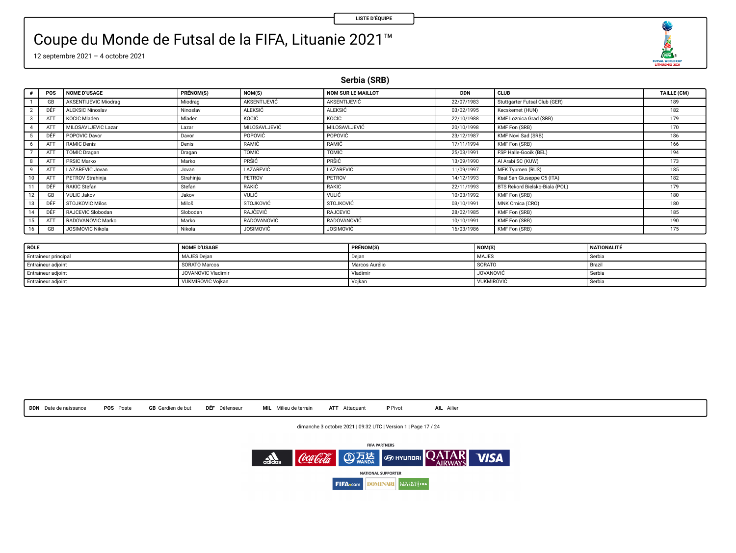FUTSAL WORLD CUP

## Coupe du Monde de Futsal de la FIFA, Lituanie 2021™

12 septembre 2021 – 4 octobre 2021

**Serbia (SRB)**

|    | POS | <b>NOME D'USAGE</b>     | PRÉNOM(S) | NOM(S)           | <b>NOM SUR LE MAILLOT</b> | <b>DDN</b> | CLUB                           | TAILLE (CM) |
|----|-----|-------------------------|-----------|------------------|---------------------------|------------|--------------------------------|-------------|
|    | GB  | AKSENTIJEVIC Miodrag    | Miodrag   | AKSENTIJEVIĆ     | AKSENTIJEVIĆ              | 22/07/1983 | Stuttgarter Futsal Club (GER)  | 189         |
|    | DÊF | <b>ALEKSIC Ninoslav</b> | Ninoslav  | <b>ALEKSIC</b>   | <b>ALEKSIC</b>            | 03/02/1995 | Kecskemet (HUN)                | 182         |
|    | ATT | KOCIC Miaden            | Mladen    | KOCIĆ            | KOCIC                     | 22/10/1988 | KMF Loznica Grad (SRB)         | 179         |
|    | ATT | MILOSAVLJEVIC Lazar     | Lazar     | MILOSAVLJEVIĆ    | MILOSAVLJEVIĆ             | 20/10/1998 | KMF Fon (SRB)                  | 170         |
|    | DÊF | POPOVIC Davor           | Davor     | POPOVIC          | POPOVIC                   | 23/12/1987 | KMF Novi Sad (SRB)             | 186         |
|    | ATT | RAMIC Denis             | Denis     | RAMIC            | RAMIC                     | 17/11/1994 | KMF Fon (SRB)                  | 166         |
|    | ATT | <b>TOMIC Dragan</b>     | Dragan    | <b>TOMIC</b>     | TOMIC                     | 25/03/1991 | FSP Halle-Gooik (BEL)          | 194         |
|    | ATT | PRSIC Marko             | Marko     | PRŜIĈ            | PRŠIĆ                     | 13/09/1990 | Al Arabi SC (KUW)              | 173         |
|    | ATT | LAZAREVIC Jovan         | Jovan     | LAZAREVIĆ        | LAZAREVIĆ                 | 11/09/1997 | MFK Tyumen (RUS)               | 185         |
|    | ATT | <b>PETROV Strahinia</b> | Strahinja | PETROV           | PETROV                    | 14/12/1993 | Real San Giuseppe C5 (ITA)     | 182         |
|    | DÉF | RAKIC Stefan            | Stefan    | RAKIĆ            | RAKIC                     | 22/11/1993 | BTS Rekord Bielsko-Biala (POL) | 179         |
|    | GB  | <b>VULIC Jakov</b>      | Jakov     | VULIC            | VULIC                     | 10/03/1992 | KMF Fon (SRB)                  | 180         |
|    | DÊF | <b>STOJKOVIC Milos</b>  | Miloš     | <b>STOJKOVIĆ</b> | <b>STOJKOVIC</b>          | 03/10/1991 | MNK Crnica (CRO)               | 180         |
| 14 | DÉF | RAJCEVIC Slobodan       | Slobodan  | RAJČEVIĆ         | RAJCEVIC                  | 28/02/1985 | KMF Fon (SRB)                  | 185         |
|    | ATT | RADOVANOVIC Marko       | Marko     | RADOVANOVIĆ      | RADOVANOVIĆ               | 10/10/1991 | KMF Fon (SRB)                  | 190         |
| 16 | GB  | JOSIMOVIC Nikola        | Nikola    | <b>JOSIMOVIĆ</b> | <b>JOSIMOVIC</b>          | 16/03/1986 | KMF Fon (SRB)                  | 175         |

| RÔLE                 | <b>NOME D'USAGE</b> | PRÉNOM(S)      | NOM(S)            | <b>NATIONALITÉ</b> |
|----------------------|---------------------|----------------|-------------------|--------------------|
| Entraîneur principal | <b>MAJES Deian</b>  | - Deiar        | <b>MAJES</b>      | Serbia             |
| Entraîneur adjoint   | SORATO Marcos       | Marcos Aurélio | SORATO            | Brazir             |
| Entraîneur adjoint   | JOVANOVIC Vladimir  | Vladimir       | <b>JOVANOVIĆ</b>  | Serbia             |
| Entraineur adjoint   | VUKMIROVIC Voikan   | Voikan         | <b>VUKMIROVIC</b> | Serbia             |

| DDN Date de naissance<br><b>GB</b> Gardien de but<br>POS Poste | DÉF Défenseur | MIL Milieu de terrain | ATT Attaquant | P Pivot | AIL Ailier |
|----------------------------------------------------------------|---------------|-----------------------|---------------|---------|------------|
|----------------------------------------------------------------|---------------|-----------------------|---------------|---------|------------|

dimanche 3 octobre 2021 | 09:32 UTC | Version 1 | Page 17 / 24

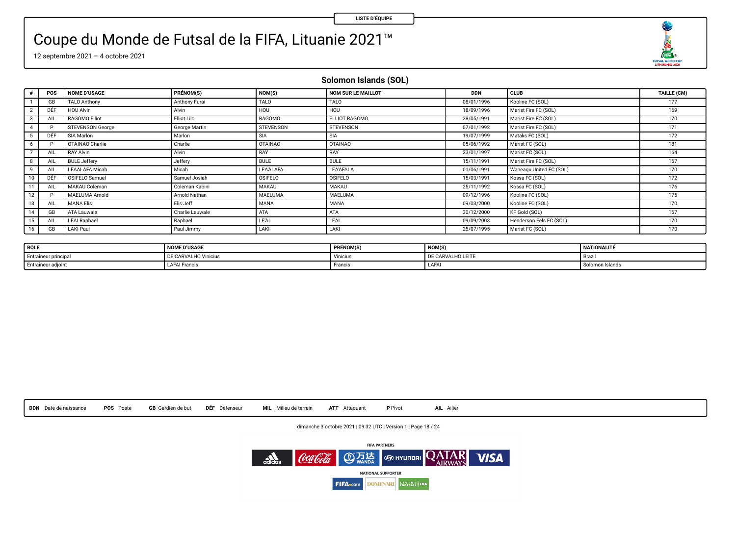O  $\begin{array}{r}\n\overbrace{\text{max}} \\
\overbrace{\text{max}} \\
\overbrace{\text{maxmax}} \\
\overbrace{\text{maxmax}} \\
\overbrace{\text{max}} \\
\overbrace{\text{max}} \\
\overbrace{\text{max}} \\
\overbrace{\text{max}} \\
\overbrace{\text{max}} \\
\overbrace{\text{max}} \\
\overbrace{\text{max}} \\
\overbrace{\text{max}} \\
\overbrace{\text{max}} \\
\overbrace{\text{max}} \\
\overbrace{\text{max}} \\
\overbrace{\text{max}} \\
\overbrace{\text{max}} \\
\overbrace{\text{max}} \\
\overbrace{\text{max}} \\
\overbrace{\text{max}} \\
\overbrace{\text{max}} \\
\overbrace{\text{max}} \\
\overbrace{\text{max}} \\
\overbrace$ 

## Coupe du Monde de Futsal de la FIFA, Lituanie 2021™

12 septembre 2021 – 4 octobre 2021

**Solomon Islands (SOL)**

|               | POS       | <b>NOME D'USAGE</b>     | PRÉNOM(S)       | NOM(S)         | <b>NOM SUR LE MAILLOT</b> | <b>DDN</b> | CLUB                    | TAILLE (CM) |
|---------------|-----------|-------------------------|-----------------|----------------|---------------------------|------------|-------------------------|-------------|
|               | GB        | <b>TALO Anthony</b>     | Anthony Furai   | TALO           | TALO                      | 08/01/1996 | Kooline FC (SOL)        | 177         |
| $\mathcal{D}$ | DEF       | <b>HOU Alvin</b>        | Alvin           | HOU            | <b>HOU</b>                | 18/09/1996 | Marist Fire FC (SOL)    | 169         |
|               | AIL       | RAGOMO Elliot           | Elliot Lilo     | RAGOMO         | ELLIOT RAGOMO             | 28/05/1991 | Marist Fire FC (SOL)    | 170         |
|               |           | <b>STEVENSON George</b> | George Martin   | STEVENSON      | <b>STEVENSON</b>          | 07/01/1992 | Marist Fire FC (SOL)    | 171         |
|               | DEF       | SIA Marion              | Marion          | SIA            | <b>SIA</b>                | 19/07/1999 | Mataks FC (SOL)         | 172         |
| 6             | D         | OTAINAO Charlie         | Charlie         | <b>OTAINAO</b> | <b>OTAINAO</b>            | 05/06/1992 | Marist FC (SOL)         | 181         |
|               | AIL.      | <b>RAY Alvin</b>        | Alvin           | RAY            | RAY                       | 23/01/1997 | Marist FC (SOL)         | 164         |
|               | AIL       | <b>BULE Jeffery</b>     | Jeffery         | <b>BULE</b>    | <b>BULE</b>               | 15/11/1991 | Marist Fire FC (SOL)    | 167         |
| $\mathbf{Q}$  | AIL       | <b>LEAALAFA Micah</b>   | Micah           | LEA'ALAFA      | LEA'AFALA                 | 01/06/1991 | Waneagu United FC (SOL) | 170         |
| 10            | DEF       | OSIFELO Samuel          | Samuel Josiah   | OSIFELO        | OSIFELO                   | 15/03/1991 | Kossa FC (SOL)          | 172         |
|               | AIL       | <b>MAKAU Coleman</b>    | Coleman Kabini  | MAKAU          | MAKAU                     | 25/11/1992 | Kossa FC (SOL)          | 176         |
| 12            | D         | MAELUMA Arnold          | Arnold Nathan   | <b>MAELUMA</b> | <b>MAELUMA</b>            | 09/12/1996 | Kooline FC (SOL)        | 175         |
| 13            | AIL.      | <b>MANA Elis</b>        | Elis Jeff       | MANA           | <b>MANA</b>               | 09/03/2000 | Kooline FC (SOL)        | 170         |
| 14            | GB        | ATA Lauwale             | Charlie Lauwale | ATA            | ATA                       | 30/12/2000 | KF Gold (SOL)           | 167         |
| 15            | AIL       | <b>LEAI Raphael</b>     | Raphael         | LEAI           | LEAI                      | 09/09/2003 | Henderson Eels FC (SOL) | 170         |
| 16            | <b>GB</b> | LAKI Paul               | Paul Jimmy      | LAKI           | LAKI                      | 25/07/1995 | Marist FC (SOL)         | 170         |

| RÔLE                 | <b>NOME D'USAGE</b>  | <b>PRÉNOM(S</b> | NOM(S)            | <b>NATIONALITÉ</b> |
|----------------------|----------------------|-----------------|-------------------|--------------------|
| Entraîneur principal | DE CARVALHO Vinicius | Vinicius        | DE CARVALHO LEITE | - Braz             |
| Entraîneur adjoint   | <b>LAFAI</b> Francis | <b>Hrancis</b>  | LAFAI             | Solomon Islands    |



dimanche 3 octobre 2021 | 09:32 UTC | Version 1 | Page 18 / 24

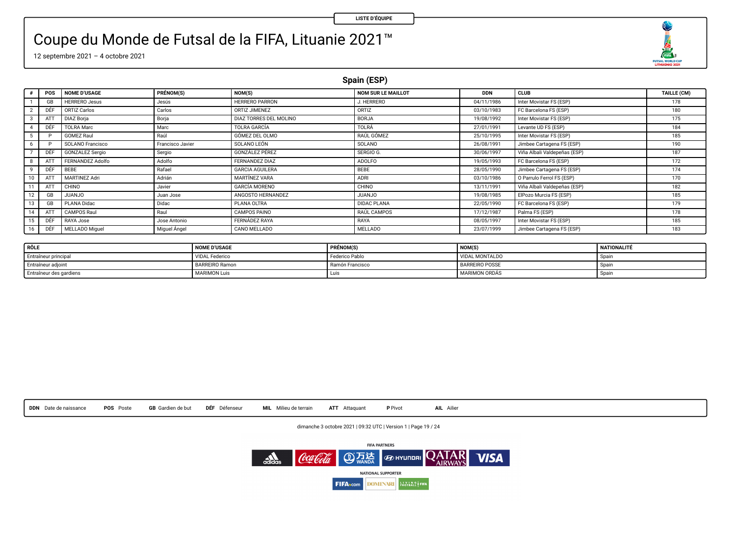O  $\begin{array}{r}\n\overbrace{\text{max}} \\
\overbrace{\text{max}} \\
\overbrace{\text{maxmax}} \\
\overbrace{\text{maxmax}} \\
\overbrace{\text{max}} \\
\overbrace{\text{max}} \\
\overbrace{\text{max}} \\
\overbrace{\text{max}} \\
\overbrace{\text{max}} \\
\overbrace{\text{max}} \\
\overbrace{\text{max}} \\
\overbrace{\text{max}} \\
\overbrace{\text{max}} \\
\overbrace{\text{max}} \\
\overbrace{\text{max}} \\
\overbrace{\text{max}} \\
\overbrace{\text{max}} \\
\overbrace{\text{max}} \\
\overbrace{\text{max}} \\
\overbrace{\text{max}} \\
\overbrace{\text{max}} \\
\overbrace{\text{max}} \\
\overbrace{\text{max}} \\
\overbrace$ 

### Coupe du Monde de Futsal de la FIFA, Lituanie 2021™

12 septembre 2021 – 4 octobre 2021

**Spain (ESP)**

|    | POS | <b>NOME D'USAGE</b>    | PRÉNOM(S)        | NOM(S)                 | NOM SUR LE MAILLOT | <b>DDN</b> | CLUB                         | TAILLE (CM) |
|----|-----|------------------------|------------------|------------------------|--------------------|------------|------------------------------|-------------|
|    | GB  | <b>HERRERO Jesus</b>   | Jesús            | <b>HERRERO PARRON</b>  | J. HERRERO         | 04/11/1986 | Inter Movistar FS (ESP)      | 178         |
|    | DÊF | ORTIZ Carlos           | Carlos           | ORTIZ JIMENEZ          | ORTIZ              | 03/10/1983 | FC Barcelona FS (ESP)        | 180         |
|    | ATT | <b>DIAZ Boria</b>      | Boria            | DIAZ TORRES DEL MOLINO | <b>BORJA</b>       | 19/08/1992 | Inter Movistar FS (ESP)      | 175         |
|    | DÉF | <b>TOLRA Marc</b>      | Marc             | TOLRA GARCÍA           | TOLRÁ              | 27/01/1991 | Levante UD FS (ESP)          | 184         |
|    |     | <b>GOMEZ Raul</b>      | Raúi             | GÓMEZ DEL OLMO         | RAÚL GÓMEZ         | 25/10/1995 | Inter Movistar FS (ESP)      | 185         |
|    |     | SOLANO Francisco       | Francisco Javier | SOLANO LEÓN            | SOLANO             | 26/08/1991 | Jimbee Cartagena FS (ESP)    | 190         |
|    | DÊI | <b>GONZALEZ Sergio</b> | Sergio           | GONZÁLEZ PÉREZ         | SERGIO G.          | 30/06/1997 | Viña Albali Valdepeñas (ESP) | 187         |
|    | ATT | FERNANDEZ Adolfo       | Adolfo           | FERNANDEZ DIAZ         | ADOLFO             | 19/05/1993 | FC Barcelona FS (ESP)        | 172         |
|    | DÉF | BEBE                   | Rafael           | <b>GARCIA AGUILERA</b> | BEBE               | 28/05/1990 | Jimbee Cartagena FS (ESP)    | 174         |
|    | AT  | <b>MARTINEZ Adri</b>   | Adrián           | <b>MARTÍNEZ VARA</b>   | ADRI               | 03/10/1986 | O Parrulo Ferrol FS (ESP)    | 170         |
|    | ATT | CHINO                  | Javier           | <b>GARCÍA MORENO</b>   | CHINO              | 13/11/1991 | Viña Albali Valdepeñas (ESP) | 182         |
|    | GB  | <b>OLIANJO</b>         | Juan Jose        | ANGOSTO HERNANDEZ      | OLIANJU            | 19/08/1985 | ElPozo Murcia FS (ESP)       | 185         |
|    | GB  | PLANA Didac            | Didac            | PLANA OLTRA            | <b>DIDAC PLANA</b> | 22/05/1990 | FC Barcelona FS (ESP)        | 179         |
|    | ATT | CAMPOS Raul            | Raul             | CAMPOS PAINO           | RAÚL CAMPOS        | 17/12/1987 | Palma FS (ESP)               | 178         |
|    | DÉF | RAYA Jose              | Jose Antonio     | <b>FERNÁDEZ RAYA</b>   | RAYA               | 08/05/1997 | Inter Movistar FS (ESP)      | 185         |
| 16 | DEF | MELLADO Miquel         | Miguel Angel     | CANO MELLADO           | <b>MELLADO</b>     | 23/07/1999 | Jimbee Cartagena FS (ESP)    | 183         |

| RÔLE                    | <b>NOME D'USAGE</b>   | PRÉNOM(S)       | NOM(S)                | NATIONALITÉ |
|-------------------------|-----------------------|-----------------|-----------------------|-------------|
| Entraîneur principal    | <b>VIDAL Federico</b> | Federico Pablo  | <b>VIDAL MONTALDO</b> | - Soan      |
| Entraîneur adjoint      | BARREIRO Ramon        | Ramón Francisco | <b>BARREIRO POSSE</b> | Snai        |
| Entraîneur des gardiens | MARIMON Luis          | Luis            | MARIMON ORDÁS         | · Soail     |



dimanche 3 octobre 2021 | 09:32 UTC | Version 1 | Page 19 / 24

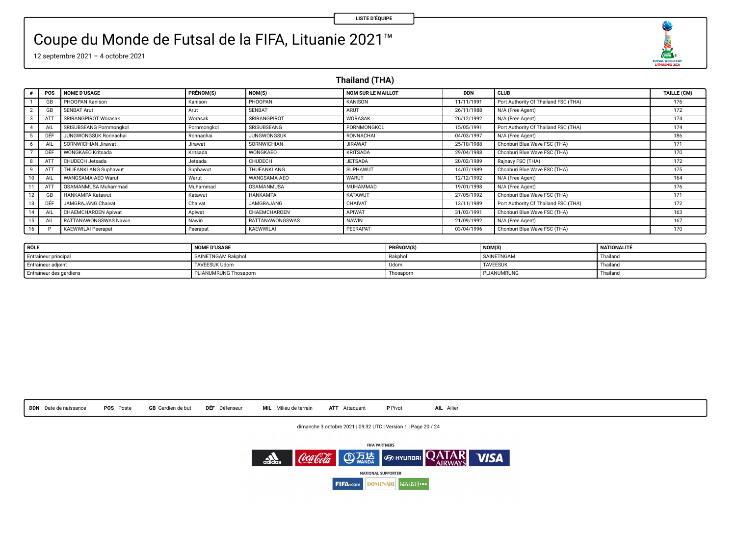### Coupe du Monde de Futsal de la FIFA, Lituanie 2021™

12 septembre 2021 – 4 octobre 2021

**Thailand (THA)**

|                 | POS | <b>NOME D'USAGE</b>       | PRÉNOM(S)   | NOM(S)                 | NOM SUR LE MAILLOT | <b>DDN</b> | <b>CLUB</b>                          | TAILLE (CM) |
|-----------------|-----|---------------------------|-------------|------------------------|--------------------|------------|--------------------------------------|-------------|
|                 | GB  | PHOOPAN Kanison           | Kanison     | PHOOPAN                | KANISON            | 11/11/1991 | Port Authority Of Thailand FSC (THA) | 176         |
|                 | GB  | <b>SENBAT Arut</b>        | Arut        | <b>SENBAT</b>          | ARUT               | 26/11/1988 | N/A (Free Agent)                     | 172         |
|                 | ATT | SRIRANGPIROT Worasak      | Worasak     | SRIRANGPIROT           | WORASAK            | 26/12/1992 | N/A (Free Agent)                     | 174         |
|                 |     | SRISUBSEANG Pornmonokol   | Pornmongkol | SRISUBSEANG            | PORNMONGKOL        | 15/05/1991 | Port Authority Of Thailand FSC (THA) | 174         |
|                 |     | JUNGWONGSUK Ronnachai     | Ronnachai   | <b>JUNGWONGSUK</b>     | RONNACHAI          | 04/03/1997 | N/A (Free Agent)                     | 186         |
|                 | All | SORNWICHIAN Jirawat       | Jirawat     | SORNWICHIAN            | <b>JIRAWAT</b>     | 25/10/1988 | Chonburi Blue Wave FSC (THA)         | 171         |
|                 | DÊF | <b>WONGKAEO Kritsada</b>  | Kritsada    | WONGKAEO               | <b>KRITSADA</b>    | 29/04/1988 | Chonburi Blue Wave FSC (THA)         | 170         |
|                 | ATT | CHUDECH Jetsada           | Jetsada     | CHUDECH                | <b>JETSADA</b>     | 20/02/1989 | Rajnavy FSC (THA)                    | 172         |
| $\mathbf{Q}$    | ATT | THUEANKLANG Suphawut      | Suphawut    | THUEANKLANG            | SUPHAWUT           | 14/07/1989 | Chonburi Blue Wave FSC (THA)         | 175         |
| 10              |     | WANGSAMA-AEO Warut        | Warut       | WANGSAMA-AEO           | <b>WARUT</b>       | 12/12/1992 | N/A (Free Agent)                     | 164         |
|                 | ATT | OSAMANMUSA Muhammad       | Muhammad    | OSAMANMUSA             | MUHAMMAD           | 19/01/1998 | N/A (Free Agent)                     | 176         |
| 12              | GB  | HANKAMPA Katawut          | Katawut     | <b>HANKAMPA</b>        | KATAWUT            | 27/05/1992 | Chonburi Blue Wave FSC (THA)         | 171         |
| 13              | DÊF | JAMGRAJANG Chaivat        | Chaivat     | <b>JAMGRAJANG</b>      | CHAIVAT            | 13/11/1989 | Port Authority Of Thailand FSC (THA) | 172         |
| 14              | AIL | CHAEMCHAROEN Apiwat       | Apiwat      | CHAEMCHAROEN           | APIWAT             | 31/03/1991 | Chonburi Blue Wave FSC (THA)         | 163         |
| 15 <sub>1</sub> | AIL | RATTANAWONGSWAS Nawin     | Nawin       | <b>RATTANAWONGSWAS</b> | NAWIN              | 21/09/1992 | N/A (Free Agent)                     | 167         |
| 16              |     | <b>KAEWWILAI Peerapat</b> | Peerapat    | KAEWWILAI              | PEERAPAT           | 03/04/1996 | Chonburi Blue Wave FSC (THA)         | 170         |

| RÔLE                    | <b>NOME D'USAGE</b>   | PRÉNOM(S) | NOM(S)          | NATIONALITÉ |
|-------------------------|-----------------------|-----------|-----------------|-------------|
| Entraîneur principal    | SAINETNGAM Rakphol    | Rakohol   | SAINETNGAM      | Thailand    |
| Entraîneur adjoint      | <b>TAVEESUK Udom</b>  | Udon      | <b>TAVEESUK</b> | Thailand    |
| Entraîneur des gardiens | PLIANUMRUNG Thosaporn | Thosaporn | PLIANUMRUNG     | Thailand    |



dimanche 3 octobre 2021 | 09:32 UTC | Version 1 | Page 20 / 24



O FUTSAL WORLD CUP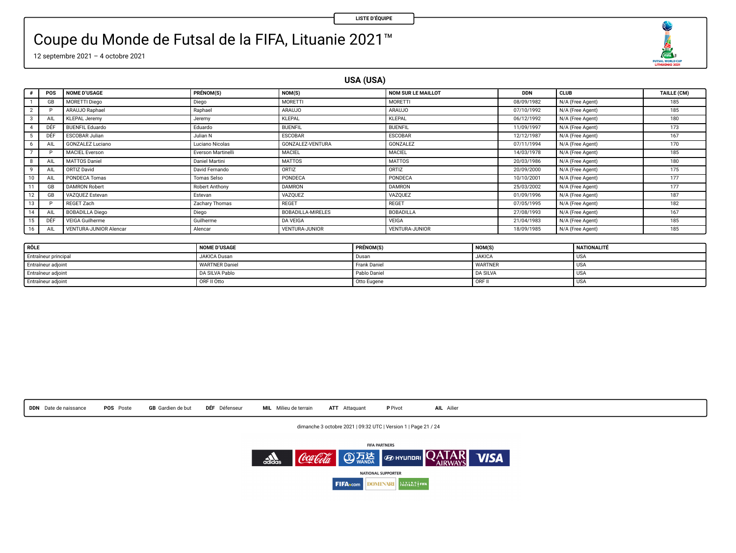### Coupe du Monde de Futsal de la FIFA, Lituanie 2021™

12 septembre 2021 – 4 octobre 2021

**USA (USA)**

|                | POS | <b>NOME D'USAGE</b>           | PRÉNOM(S)          | NOM(S)                   | <b>NOM SUR LE MAILLOT</b> | <b>DDN</b> | <b>CLUB</b>      | TAILLE (CM) |
|----------------|-----|-------------------------------|--------------------|--------------------------|---------------------------|------------|------------------|-------------|
|                | GB  | <b>MORETTI Diego</b>          | Diego              | MORETTI                  | MORETTI                   | 08/09/1982 | N/A (Free Agent) | 185         |
| $\overline{2}$ |     | ARAUJO Raphael                | Raphael            | <b>ARAUJO</b>            | ARAUJO                    | 07/10/1992 | N/A (Free Agent) | 185         |
| 3              | AIL | <b>KLEPAL Jeremy</b>          | Jeremy             | KLEPAL                   | KLEPAL                    | 06/12/1992 | N/A (Free Agent) | 180         |
| 4              | DÉF | <b>BUENFIL Eduardo</b>        | Eduardo            | <b>BUENFIL</b>           | <b>BUENFIL</b>            | 11/09/1997 | N/A (Free Agent) | 173         |
|                | DÊF | ESCOBAR Julian                | Julian N           | <b>ESCOBAR</b>           | <b>ESCOBAR</b>            | 12/12/1987 | N/A (Free Agent) | 167         |
| 6              | AIL | GONZALEZ Luciano              | Luciano Nicolas    | GONZALEZ-VENTURA         | GONZALEZ                  | 07/11/1994 | N/A (Free Agent) | 170         |
|                |     | <b>MACIEL Everson</b>         | Everson Martinelli | MACIEL                   | MACIEL                    | 14/03/1978 | N/A (Free Agent) | 185         |
| 8              | AIL | MATTOS Daniel                 | Daniel Martini     | <b>MATTOS</b>            | <b>MATTOS</b>             | 20/03/1986 | N/A (Free Agent) | 180         |
| 9              | AIL | ORTIZ David                   | David Fernando     | ORTIZ                    | ORTIZ                     | 20/09/2000 | N/A (Free Agent) | 175         |
| 10             | AIL | PONDECA Tomas                 | Tomas Selso        | PONDECA                  | PONDECA                   | 10/10/2001 | N/A (Free Agent) | 177         |
|                | GB  | <b>DAMRON Robert</b>          | Robert Anthony     | <b>DAMRON</b>            | <b>DAMRON</b>             | 25/03/2002 | N/A (Free Agent) | 177         |
| 12             | GB  | VAZOUEZ Estevan               | Estevan            | VAZOUEZ                  | VAZOUEZ                   | 01/09/1996 | N/A (Free Agent) | 187         |
| 13             |     | REGET Zach                    | Zachary Thomas     | REGET                    | REGET                     | 07/05/1995 | N/A (Free Agent) | 182         |
| 14             | AIL | <b>BOBADILLA Diego</b>        | Diego              | <b>BOBADILLA-MIRELES</b> | BOBADILLA                 | 27/08/1993 | N/A (Free Agent) | 167         |
| 15             | DÉF | <b>VEIGA Guilherme</b>        | Guilherme          | DA VEIGA                 | VEIGA                     | 21/04/1983 | N/A (Free Agent) | 185         |
| 16             | AIL | <b>VENTURA-JUNIOR Alencar</b> | Alencar            | <b>VENTURA-JUNIOR</b>    | VENTURA-JUNIOR            | 18/09/1985 | N/A (Free Agent) | 185         |

| RÔLE                 | <b>NOME D'USAGE</b>   | PRÉNOM(S)    | NOM(S)          | <b>NATIONALITÉ</b> |
|----------------------|-----------------------|--------------|-----------------|--------------------|
| Entraîneur principal | JAKICA Dusan          | <b>Dusan</b> | <b>JAKICA</b>   | USA                |
| Entraîneur adjoint   | <b>WARTNER Daniel</b> | Frank Daniel | <b>WARTNER</b>  | I USA              |
| Entraîneur adjoint   | DA SILVA Pablo        | Pablo Daniel | <b>DA SILVA</b> | I USA              |
| Entraineur adjoint   | ORF II Otto           | Otto Eugene  | <b>TORF II</b>  | USA                |

|  | DDN Date de naissance | POS Poste |  |  | <b>GB</b> Gardien de but |  | DEF Défenseur |  | MIL Milieu de terrain |  | ATT Attaquant | P Pivot |  | AIL Ailier |
|--|-----------------------|-----------|--|--|--------------------------|--|---------------|--|-----------------------|--|---------------|---------|--|------------|
|--|-----------------------|-----------|--|--|--------------------------|--|---------------|--|-----------------------|--|---------------|---------|--|------------|

dimanche 3 octobre 2021 | 09:32 UTC | Version 1 | Page 21 / 24



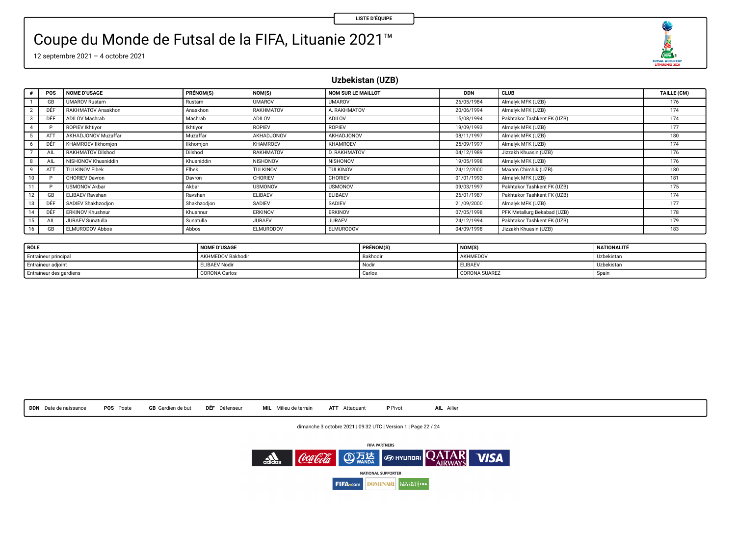O FUTSAL WORLD CUP

## Coupe du Monde de Futsal de la FIFA, Lituanie 2021™

12 septembre 2021 – 4 octobre 2021

**Uzbekistan (UZB)**

| $\bullet$               | <b>POS</b> | <b>NOME D'USAGE</b>     | PRÉNOM(S)   | NOM(S)           | NOM SUR LE MAILLOT | <b>DDN</b> | CLUB                        | TAILLE (CM) |
|-------------------------|------------|-------------------------|-------------|------------------|--------------------|------------|-----------------------------|-------------|
|                         | GB         | <b>UMAROV Rustam</b>    | Rustam      | <b>UMAROV</b>    | <b>UMAROV</b>      | 26/05/1984 | Almalyk MFK (UZB)           | 176         |
| $\overline{2}$          | DÊF        | RAKHMATOV Anaskhon      | Anaskhon    | RAKHMATOV        | A. RAKHMATOV       | 20/06/1994 | Almalyk MFK (UZB)           | 174         |
| $\overline{\mathbf{3}}$ | DÉF        | ADILOV Mashrab          | Mashrab     | ADILOV           | ADILOV             | 15/08/1994 | Pakhtakor Tashkent FK (UZB) | 174         |
| $\Delta$                |            | ROPIEV Ikhtivor         | Ikhtivor    | <b>ROPIEV</b>    | ROPIEV             | 19/09/1993 | Almalyk MFK (UZB)           | 177         |
|                         |            | AKHADJONOV Muzaffar     | Muzaffar    | AKHADJONOV       | AKHADJONOV         | 08/11/1997 | Almalyk MFK (UZB)           | 180         |
| 6                       | DÉF        | KHAMROEV Ilkhomion      | Ilkhomion   | KHAMROEV         | KHAMROEV           | 25/09/1997 | Almalyk MFK (UZB)           | 174         |
|                         | AIL        | RAKHMATOV Dilshod       | Dilshod     | RAKHMATOV        | D. RAKHMATOV       | 04/12/1989 | Jizzakh Khuasin (UZB)       | 176         |
| 8                       | AIL        | NISHONOV Khusniddin     | Khusniddin  | NISHONOV         | NISHONOV           | 19/05/1998 | Almalyk MFK (UZB)           | 176         |
| 9                       | ATT        | <b>TULKINOV Elbek</b>   | Elbek       | <b>TULKINOV</b>  | TULKINOV           | 24/12/2000 | Maxam Chirchik (UZB)        | 180         |
| 10                      |            | <b>CHORIEV Davron</b>   | Dayron      | CHORIEV          | CHORIEV            | 01/01/1993 | Almalyk MFK (UZB)           | 181         |
|                         |            | <b>USMONOV Akbar</b>    | Akbar       | <b>USMONOV</b>   | <b>USMONOV</b>     | 09/03/1997 | Pakhtakor Tashkent FK (UZB) | 175         |
| 12                      | GB         | ELIBAEV Rayshan         | Rayshan     | ELIBAEV          | ELIBAEV            | 26/01/1987 | Pakhtakor Tashkent FK (UZB) | 174         |
| 13                      | DÊF        | SADIEV Shakhzodion      | Shakhzodion | SADIEV           | SADIEV             | 21/09/2000 | Almalyk MFK (UZB)           | 177         |
| 14                      | DÉF        | <b>ERKINOV Khushnur</b> | Khushnur    | ERKINOV          | ERKINOV            | 07/05/1998 | PFK Metallurg Bekabad (UZB) | 178         |
| 15                      | AIL        | <b>JURAEV Sunatulla</b> | Sunatulla   | <b>JURAEV</b>    | <b>JURAEV</b>      | 24/12/1994 | Pakhtakor Tashkent FK (UZB) | 179         |
| 16                      | GB         | ELMURODOV Abbos         | Abbos       | <b>ELMURODOV</b> | ELMURODOV          | 04/09/1998 | Jizzakh Khuasin (UZB)       | 183         |

| RÔLE                    | <b>NOME D'USAGE</b>      | PRÉNOM(S) | NOM(S         | NATIONALITÉ |
|-------------------------|--------------------------|-----------|---------------|-------------|
| Entraîneur principal    | <b>AKHMEDOV Bakhodir</b> | Bakhodin  | AKHMEDOV      | Uzbekistar  |
| Entraîneur adjoint      | <b>ELIBAEV Nodir</b>     | Nodi      | ELIBAEV       | Uzbekistar  |
| Entraîneur des gardiens | <b>CORONA Carlos</b>     | Carlos    | CORONA SUAREZ | Spain       |



dimanche 3 octobre 2021 | 09:32 UTC | Version 1 | Page 22 / 24

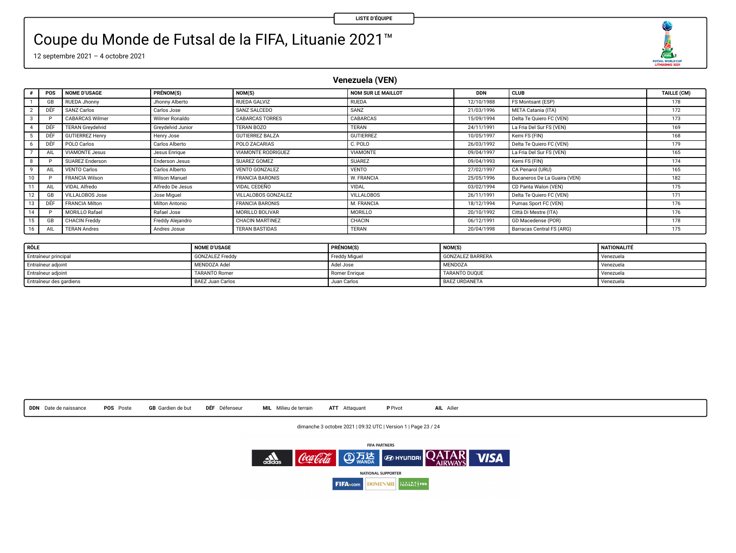### Coupe du Monde de Futsal de la FIFA, Lituanie 2021™

12 septembre 2021 – 4 octobre 2021

### **Venezuela (VEN)**

|    | POS | <b>NOME D'USAGE</b>     | PRÉNOM(S)             | NOM(S)                 | NOM SUR LE MAILLOT | <b>DDN</b> | <b>CLUB</b>                  | TAILLE (CM) |
|----|-----|-------------------------|-----------------------|------------------------|--------------------|------------|------------------------------|-------------|
|    | GB  | <b>RUEDA Jhonny</b>     | Jhonny Alberto        | RUEDA GALVIZ           | RUEDA              | 12/10/1988 | FS Montsant (ESP)            | 178         |
|    | DÉF | SANZ Carlos             | Carlos Jose           | SANZ SALCEDO           | SANZ               | 21/03/1996 | META Catania (ITA)           | 172         |
|    |     | <b>CABARCAS Wilmer</b>  | Wilmer Ronaldo        | <b>CABARCAS TORRES</b> | CABARCAS           | 15/09/1994 | Delta Te Quiero FC (VEN)     | 173         |
|    | DÉF | <b>TERAN Grevdelvid</b> | Grevdelvid Junior     | TERAN BOZO             | TERAN              | 24/11/1991 | La Fria Del Sur FS (VEN)     | 169         |
|    | DEF | <b>GUTIERREZ Henry</b>  | Henry Jose            | <b>GUTIERREZ BALZA</b> | <b>GUTIERREZ</b>   | 10/05/1997 | Kemi FS (FIN)                | 168         |
|    | DÉF | POLO Carlos             | Carlos Alberto        | POLO ZACARIAS          | C. POLO            | 26/03/1992 | Delta Te Quiero FC (VEN)     | 179         |
|    | All | <b>VIAMONTE Jesus</b>   | Jesus Enrique         | VIAMONTE RODRIGUEZ     | VIAMONTE           | 09/04/1997 | La Fria Del Sur FS (VEN)     | 165         |
|    |     | SUAREZ Enderson         | <b>Enderson Jesus</b> | SUAREZ GOMEZ           | <b>SUAREZ</b>      | 09/04/1993 | Kemi FS (FIN)                | 174         |
|    | All | <b>VENTO Carlos</b>     | Carlos Alberto        | VENTO GONZALEZ         | <b>VENTO</b>       | 27/02/1997 | CA Penarol (URU)             | 165         |
| 10 |     | <b>FRANCIA Wilson</b>   | Wilson Manuel         | <b>FRANCIA BARONIS</b> | <b>W. FRANCIA</b>  | 25/05/1996 | Bucaneros De La Guaira (VEN) | 182         |
|    |     | VIDAL Alfredo           | Alfredo De Jesus      | VIDAL CEDEÑO           | VIDAL              | 03/02/1994 | CD Panta Walon (VEN)         | 175         |
|    | GE  | VILLALOBOS Jose         | Jose Miguel           | VILLALOBOS GONZALEZ    | <b>VILLALOBOS</b>  | 26/11/1991 | Delta Te Quiero FC (VEN)     | 171         |
| 13 | DEF | <b>FRANCIA Milton</b>   | Milton Antonio        | <b>FRANCIA BARONIS</b> | M. FRANCIA         | 18/12/1994 | Pumas Sport FC (VEN)         | 176         |
| 14 |     | MORILLO Rafael          | Rafael Jose           | MORILLO BOLIVAR        | MORILLO            | 20/10/1992 | Città Di Mestre (ITA)        | 176         |
|    | GB  | <b>CHACIN Freddy</b>    | Freddy Alejandro      | CHACIN MARTINEZ        | CHACIN             | 06/12/1991 | GD Macedense (POR)           | 178         |
|    | All | <b>TERAN Andres</b>     | Andres Josue          | <b>TERAN BASTIDAS</b>  | <b>TERAN</b>       | 20/04/1998 | Barracas Central FS (ARG)    | 175         |

| RÔLE                    | <b>NOME D'USAGE</b>     | PRÉNOM(S)     | <b>NOM(S)</b>           | NATIONALITÉ |
|-------------------------|-------------------------|---------------|-------------------------|-------------|
| Entraîneur principal    | <b>GONZALEZ Freddy</b>  | Freddy Miguel | <b>GONZALEZ BARRERA</b> | Venezuela   |
| Entraîneur adjoint      | MENDOZA Adel            | Adel Jose     | <b>MENDOZA</b>          | Venezuela   |
| Entraîneur adjoint      | <b>TARANTO Romer</b>    | Romer Enrique | TARANTO DUOUE           | Venezuela   |
| Entraîneur des gardiens | <b>BAEZ Juan Carlos</b> | Juan Carlos   | <b>BAEZ URDANETA</b>    | Venezuela   |



dimanche 3 octobre 2021 | 09:32 UTC | Version 1 | Page 23 / 24